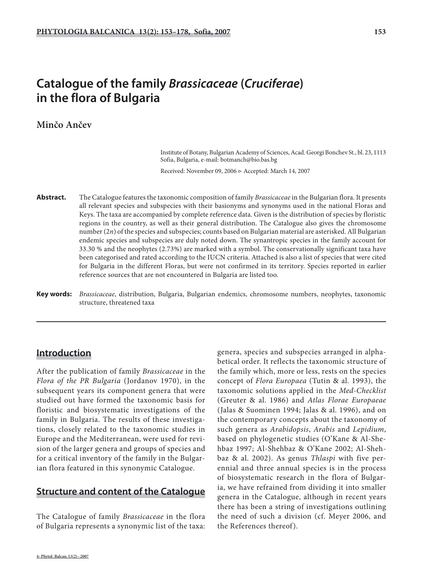# **Catalogue of the family** *Brassicaceae* **(***Cruciferae***) in the flora of Bulgaria**

## **Minčo Ančev**

 Institute of Botany, Bulgarian Academy of Sciences, Acad. Georgi Bonchev St., bl. 23, 1113 Sofia, Bulgaria, e-mail: botmanch@bio.bas.bg

Received: November 09, 2006 ▷ Accepted: March 14, 2007

- **Abstract.** The Catalogue features the taxonomic composition of family *Brassicaceae* in the Bulgarian flora. It presents all relevant species and subspecies with their basionyms and synonyms used in the national Floras and Keys. The taxa are accompanied by complete reference data. Given is the distribution of species by floristic regions in the country, as well as their general distribution. The Catalogue also gives the chromosome number (2*n*) of the species and subspecies; counts based on Bulgarian material are asterisked. All Bulgarian endemic species and subspecies are duly noted down. The synantropic species in the family account for 33.30 % and the neophytes (2.73%) are marked with a symbol. The conservationally significant taxa have been categorised and rated according to the IUCN criteria. Attached is also a list of species that were cited for Bulgaria in the different Floras, but were not confirmed in its territory. Species reported in earlier reference sources that are not encountered in Bulgaria are listed too.
- **Key words:** *Brassicaceae*, distribution, Bulgaria, Bulgarian endemics, chromosome numbers, neophytes, taxonomic structure, threatened taxa

## **Introduction**

After the publication of family *Brassicaceae* in the *Flora of the PR Bulgaria* (Jordanov 1970), in the subsequent years its component genera that were studied out have formed the taxonomic basis for floristic and biosystematic investigations of the family in Bulgaria. The results of these investigations, closely related to the taxonomic studies in Europe and the Mediterranean, were used for revision of the larger genera and groups of species and for a critical inventory of the family in the Bulgarian flora featured in this synonymic Catalogue.

## **Structure and content of the Catalogue**

The Catalogue of family *Brassicaceae* in the flora of Bulgaria represents a synonymic list of the taxa: genera, species and subspecies arranged in alphabetical order. It reflects the taxonomic structure of the family which, more or less, rests on the species concept of *Flora Europaea* (Tutin & al. 1993), the taxonomic solutions applied in the *Med-Checklist* (Greuter & al. 1986) and *Atlas Florae Europaeae* (Jalas & Suominen 1994; Jalas & al. 1996), and on the contemporary concepts about the taxonomy of such genera as *Arabidopsis*, *Arabis* and *Lepidium*, based on phylogenetic studies (O'Kane & Al-Shehbaz 1997; Al-Shehbaz & O'Kane 2002; Al-Shehbaz & al. 2002). As genus *Thlaspi* with five perennial and three annual species is in the process of biosystematic research in the flora of Bulgaria, we have refrained from dividing it into smaller genera in the Catalogue, although in recent years there has been a string of investigations outlining the need of such a division (cf. Meyer 2006, and the References thereof).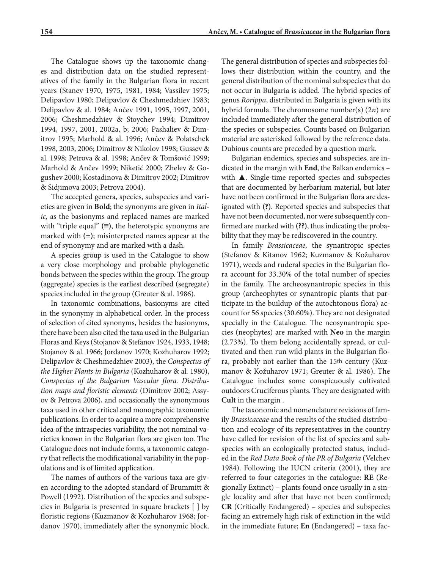The Catalogue shows up the taxonomic changes and distribution data on the studied representatives of the family in the Bulgarian flora in recent years (Stanev 1970, 1975, 1981, 1984; Vassilev 1975; Delipavlov 1980; Delipavlov & Cheshmedzhiev 1983; Delipavlov & al. 1984; Ančev 1991, 1995, 1997, 2001, 2006; Cheshmedzhiev & Stoychev 1994; Dimitrov 1994, 1997, 2001, 2002a, b; 2006; Pashaliev & Dimitrov 1995; Marhold & al. 1996; Ančev & Polatschek 1998, 2003, 2006; Dimitrov & Nikolov 1998; Gussev & al. 1998; Petrova & al. 1998; Ančev & Tomšović 1999; Marhold & Ančev 1999; Niketić 2000; Zhelev & Gogushev 2000; Kostadinova & Dimitrov 2002; Dimitrov & Sidjimova 2003; Petrova 2004).

The accepted genera, species, subspecies and varieties are given in **Bold**; the synonyms are given in *Italic,* as the basionyms and replaced names are marked with "triple equal" **(≡)**, the heterotypic synonyms are marked with **(=)**; misinterpreted names appear at the end of synonymy and are marked with a dash.

A species group is used in the Catalogue to show a very close morphology and probable phylogenetic bonds between the species within the group. The group (aggregate) species is the earliest described (segregate) species included in the group (Greuter & al. 1986).

In taxonomic combinations, basionyms are cited in the synonymy in alphabetical order. In the process of selection of cited synonyms, besides the basionyms, there have been also cited the taxa used in the Bulgarian Floras and Keys (Stojanov & Stefanov 1924, 1933, 1948; Stojanov & al. 1966; Jordanov 1970; Kozhuharov 1992; Delipavlov & Cheshmedzhiev 2003), the *Conspectus of the Higher Plants in Bulgaria* (Kozhuharov & al. 1980), *Conspectus of the Bulgarian Vascular flora. Distribution maps and floristic elements* (Dimitrov 2002; Assyov & Petrova 2006), and occasionally the synonymous taxa used in other critical and monographic taxonomic publications. In order to acquire a more comprehensive idea of the intraspecies variability, the not nominal varieties known in the Bulgarian flora are given too. The Catalogue does not include forms, a taxonomic category that reflects the modificational variability in the populations and is of limited application.

The names of authors of the various taxa are given according to the adopted standard of Brummitt & Powell (1992). Distribution of the species and subspecies in Bulgaria is presented in square brackets [ ] by floristic regions (Kuzmanov & Kozhuharov 1968; Jordanov 1970), immediately after the synonymic block.

The general distribution of species and subspecies follows their distribution within the country, and the general distribution of the nominal subspecies that do not occur in Bulgaria is added. The hybrid species of genus *Rorippa*, distributed in Bulgaria is given with its hybrid formula. The chromosome number(s) (2*n*) are included immediately after the general distribution of the species or subspecies. Counts based on Bulgarian material are asterisked followed by the reference data. Dubious counts are preceded by a question mark.

Bulgarian endemics, species and subspecies, are indicated in the margin with **End**, the Balkan endemics – with **▲**. Single-time reported species and subspecies that are documented by herbarium material, but later have not been confirmed in the Bulgarian flora are designated with **(?)**. Reported species and subspecies that have not been documented, nor were subsequently confirmed are marked with **(??)**, thus indicating the probability that they may be rediscovered in the country.

In family *Brassicaceae,* the synantropic species (Stefanov & Kitanov 1962; Kuzmanov & Kožuharov 1971), weeds and ruderal species in the Bulgarian flora account for 33.30% of the total number of species in the family. The archeosynantropic species in this group (archeophytes or synantropic plants that participate in the buildup of the autochtonous flora) account for 56 species (30.60%). They are not designated specially in the Catalogue. The neosynantropic species (neophytes) are marked with **Nеo** in the margin (2.73%). To them belong accidentally spread, or cultivated and then run wild plants in the Bulgarian flora, probably not earlier than the 15th century (Kuzmanov & Kožuharov 1971; Greuter & al. 1986). The Catalogue includes some conspicuously cultivated outdoors Cruciferous plants. They are designated with **Cult** in the margin .

The taxonomic and nomenclature revisions of family *Brassicaceae* and the results of the studied distribution and ecology of its representatives in the country have called for revision of the list of species and subspecies with an ecologically protected status, included in the *Red Data Book of the PR of Bulgaria* (Velchev 1984). Following the IUCN criteria (2001), they are referred to four categories in the catalogue: **RE** (Regionally Extinct) – plants found once usually in a single locality and after that have not been confirmed; **CR** (Critically Endangered) – species and subspecies facing an extremely high risk of extinction in the wild in the immediate future; **En** (Endangered) – taxa fac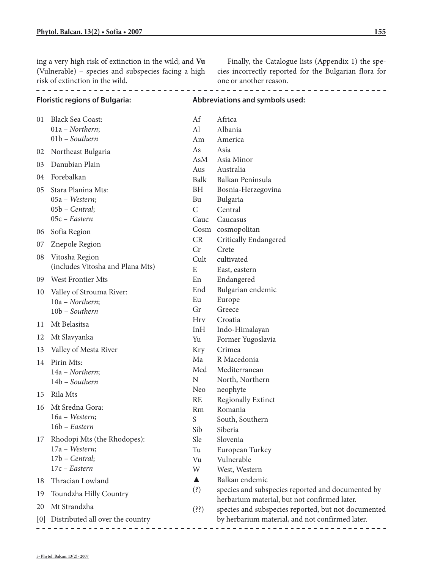ing a very high risk of extinction in the wild; and **Vu** (Vulnerable) – species and subspecies facing a high risk of extinction in the wild.

Finally, the Catalogue lists (Appendix 1) the species incorrectly reported for the Bulgarian flora for one or another reason.

| <b>Floristic regions of Bulgaria:</b> |                                                              | Abbreviations and symbols used: |                                                                                                   |
|---------------------------------------|--------------------------------------------------------------|---------------------------------|---------------------------------------------------------------------------------------------------|
| 01                                    | <b>Black Sea Coast:</b><br>01a - Northern;<br>01b - Southern | Af<br>AI<br>Am                  | Africa<br>Albania<br>America                                                                      |
| 02                                    | Northeast Bulgaria                                           | As                              | Asia                                                                                              |
| 03                                    | Danubian Plain                                               | AsM                             | Asia Minor                                                                                        |
| 04                                    | Forebalkan                                                   | Aus<br>Balk                     | Australia<br>Balkan Peninsula                                                                     |
| 05                                    | Stara Planina Mts:                                           | BH                              | Bosnia-Herzegovina                                                                                |
|                                       | 05a - Western;                                               | Bu                              | Bulgaria                                                                                          |
|                                       | $05b$ – Central;                                             | $\mathsf{C}$                    | Central                                                                                           |
|                                       | 05c - Eastern                                                | Cauc                            | Caucasus                                                                                          |
| 06                                    | Sofia Region                                                 |                                 | Cosm cosmopolitan                                                                                 |
| 07                                    | Znepole Region                                               | CR                              | Critically Endangered                                                                             |
|                                       |                                                              | Cr                              | Crete                                                                                             |
| 08                                    | Vitosha Region                                               | Cult                            | cultivated                                                                                        |
|                                       | (includes Vitosha and Plana Mts)                             | E                               | East, eastern                                                                                     |
| 09                                    | <b>West Frontier Mts</b>                                     | En                              | Endangered                                                                                        |
| 10                                    | Valley of Strouma River:                                     | End                             | Bulgarian endemic                                                                                 |
|                                       | 10a - Northern;                                              | Eu                              | Europe                                                                                            |
|                                       | 10b - Southern                                               | Gr                              | Greece                                                                                            |
| 11                                    | Mt Belasitsa                                                 | <b>Hrv</b>                      | Croatia                                                                                           |
| 12                                    | Mt Slavyanka                                                 | InH                             | Indo-Himalayan                                                                                    |
|                                       |                                                              | Yu                              | Former Yugoslavia<br>Crimea                                                                       |
| 13                                    | Valley of Mesta River                                        | <b>Kry</b><br>Ma                | R Macedonia                                                                                       |
| 14                                    | Pirin Mts:                                                   | Med                             | Mediterranean                                                                                     |
|                                       | 14a - Northern;                                              | N                               | North, Northern                                                                                   |
|                                       | 14b - Southern                                               | Neo                             | neophyte                                                                                          |
| 15                                    | Rila Mts                                                     | <b>RE</b>                       | <b>Regionally Extinct</b>                                                                         |
| 16                                    | Mt Sredna Gora:                                              | Rm                              | Romania                                                                                           |
|                                       | 16a - Western;                                               | S                               | South, Southern                                                                                   |
|                                       | 16b - Eastern                                                | Sib                             | Siberia                                                                                           |
| 17                                    | Rhodopi Mts (the Rhodopes):                                  | Sle                             | Slovenia                                                                                          |
|                                       | 17a - Western;                                               | Tu                              | European Turkey                                                                                   |
|                                       | $17b$ – Central;                                             | Vu                              | Vulnerable                                                                                        |
|                                       | 17c - Eastern                                                | W                               | West, Western                                                                                     |
| 18                                    | Thracian Lowland                                             | ▲                               | Balkan endemic                                                                                    |
| 19                                    | Toundzha Hilly Country                                       | (3)                             | species and subspecies reported and documented by<br>herbarium material, but not confirmed later. |
| 20                                    | Mt Strandzha                                                 | (33)                            | species and subspecies reported, but not documented                                               |
| [0]                                   | Distributed all over the country                             |                                 | by herbarium material, and not confirmed later.                                                   |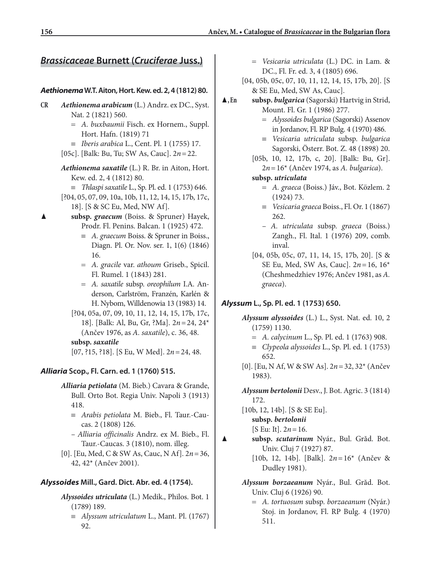## *Brassicaceae* **Burnett (***Cruciferae* **Juss.)** = *Vesicaria utriculata* (L.) DC. in Lam. &

## *Aethionema* **W.T. Aiton, Hort. Kew. ed. 2, 4 (1812) 80.**

- **CR** *Aethionema arabicum* (L.) Andrz. ex DC., Syst. Nat. 2 (1821) 560.
	- = *A. buxbaumii* Fisch. ex Hornem., Suppl. Hort. Hafn. (1819) 71
	- ≡ *Iberis arabica* L., Cent. Pl. 1 (1755) 17.
	- [05c]. [Balk: Bu, Tu; SW As, Cauc]. 2*n* = 22.
	- *Aethionema saxatile* (L.) R. Br. in Aiton, Hort. Kew. ed. 2, 4 (1812) 80.
		- ≡ *Thlaspi saxatile* L., Sp. Pl. ed. 1 (1753) 646.
	- [?04, 05, 07, 09, 10a, 10b, 11, 12, 14, 15, 17b, 17c, 18]. [S & SC Eu, Med, NW Af].
- subsp. *graecum* (Boiss. & Spruner) Hayek, Prodr. Fl. Penins. Balcan. 1 (1925) 472.
	- ≡ *A. graecum* Boiss. & Spruner in Boiss., Diagn. Pl. Or. Nov. ser. 1, 1(6) (1846) 16.
	- = *A. gracile* var. *athoum* Griseb., Spicil. Fl. Rumel. 1 (1843) 281.
	- = *A. saxatile* subsp. *oreophilum* I.A. Anderson, Carlström, Franzén, Karlén & H. Nybom, Willdenowia 13 (1983) 14.
	- [?04, 05a, 07, 09, 10, 11, 12, 14, 15, 17b, 17c, 18]. [Balk: Al, Bu, Gr, ?Ma]. 2*n* = 24, 24\* (Ančev 1976, as *A. saxatile*), c. 36, 48.

## **subsp.** *saxatile*

[07, ?15, ?18]. [S Eu, W Med]. 2*n* = 24, 48.

## *Alliaria* **Scop., Fl. Carn. ed. 1 (1760) 515.**

- *Alliaria petiolata* (M. Bieb.) Cavara & Grande, Bull. Orto Bot. Regia Univ. Napoli 3 (1913) 418.
	- ≡ *Arabis petiolata* M. Bieb., Fl. Taur.-Caucas. 2 (1808) 126.
	- *Alliaria officinalis* Andrz. ex M. Bieb., Fl. Taur.-Caucas. 3 (1810), nom. illeg.
- [0]. [Eu, Med, C & SW As, Cauc, N Af]. 2*n* = 36, 42, 42\* (Ančev 2001).

## *Alyssoides* **Mill., Gard. Dict. Abr. ed. 4 (1754).**

- *Alyssoides utriculata* (L.) Medik., Philos. Bot. 1 (1789) 189.
	- ≡ *Alyssum utriculatum* L., Mant. Pl. (1767) 92.
- DC., Fl. Fr. ed. 3, 4 (1805) 696.
- [04, 05b, 05c, 07, 10, 11, 12, 14, 15, 17b, 20]. [S & SE Eu, Med, SW As, Cauc].
- ▲**, En subsp.** *bulgarica* (Sagorski) Hartvig in Strid, Mount. Fl. Gr. 1 (1986) 277.
	- = *Alyssoides bulgarica* (Sagorski) Assenov in Jordanov, Fl. RP Bulg. 4 (1970) 486.
	- ≡ *Vesicaria utriculata* subsp. *bulgarica* Sagorski, Österr. Bot. Z. 48 (1898) 20.
	- [05b, 10, 12, 17b, c, 20]. [Balk: Bu, Gr]. 2*n* = 16\* (Ančev 1974, as *A. bulgarica*).
	- **subsp.** *utriculata*
		- = *A. graeca* (Boiss.) Jáv., Bot. Közlem. 2 (1924) 73.
		- ≡ *Vesicaria graeca* Boiss., Fl. Or. 1 (1867) 262.
		- *A. utriculata* subsp. *graeca* (Boiss.) Zangh., Fl. Ital. 1 (1976) 209, comb. inval.
	- [04, 05b, 05c, 07, 11, 14, 15, 17b, 20]. [S & SE Eu, Med, SW As, Cauc]. 2*n* = 16, 16\* (Cheshmedzhiev 1976; Ančev 1981, as *A. graeca*).

## *Alyssum* **L., Sp. Pl. ed. 1 (1753) 650.**

- *Alyssum alyssoides* (L.) L., Syst. Nat. ed. 10, 2 (1759) 1130.
	- = *A. calycinum* L., Sp. Pl. ed. 1 (1763) 908.
	- ≡ *Clypeola alyssoides* L., Sp. Pl. ed. 1 (1753) 652.
- [0]. [Eu, N Af, W & SW As]. 2*n* = 32, 32\* (Ančev 1983).
- *Alyssum bertolonii* Desv., J. Bot. Agric. 3 (1814) 172.
- [10b, 12, 14b]. [S & SE Eu]. **subsp.** *bertolonii* [S Eu: It]. 2*n* = 16.
- ▲ **subsp.** *scutarinum* Nyár., Bul. Grăd. Bot. Univ. Cluj 7 (1927) 87.
	- [10b, 12, 14b]. [Balk]. 2*n* = 16\* (Ančev & Dudley 1981).
	- *Alyssum borzaeanum* Nyár., Bul. Grăd. Bot. Univ. Cluj 6 (1926) 90.
		- = *A. tortuosum* subsp. *borzaeanum* (Nyár.) Stoj. in Jordanov, Fl. RP Bulg. 4 (1970) 511.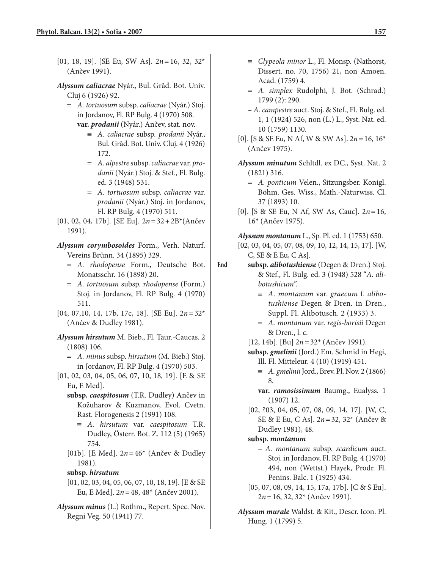- [01, 18, 19]. [SE Eu, SW As]. 2*n* = 16, 32, 32\* (Ančev 1991).
- *Alyssum caliacrae* Nyár., Bul. Grăd. Bot. Univ. Cluj 6 (1926) 92.
	- = *A. tortuosum* subsp. *caliacrae* (Nyár.) Stoj. in Jordanov, Fl. RP Bulg. 4 (1970) 508. **var.** *prodanii* (Nyár.) Ančev, stat. nov.
		- ≡ *A. caliacrae* subsp. *prodanii* Nyár., Bul. Grăd. Bot. Univ. Cluj. 4 (1926) 172.
		- = *A. alpestre* subsp. *caliacrae* var. *prodanii* (Nyár.) Stoj. & Stef., Fl. Bulg. ed. 3 (1948) 531.
		- = *A. tortuosum* subsp. *caliacrae* var. *prodanii* (Nyár.) Stoj. in Jordanov, Fl. RP Bulg. 4 (1970) 511.
- [01, 02, 04, 17b]. [SE Eu]. 2*n* = 32 + 2B\*(Ančev 1991).

*Alyssum corymbosoides* Form., Verh. Naturf. Vereins Brünn. 34 (1895) 329.

- = *A. rhodopense* Form., Deutsche Bot. Monatsschr. 16 (1898) 20.
- = *A. tortuosum* subsp. *rhodopense* (Form.) Stoj. in Jordanov, Fl. RP Bulg. 4 (1970) 511.
- [04, 07,10, 14, 17b, 17c, 18]. [SE Eu]. 2*n* = 32\* (Ančev & Dudley 1981).
- *Alyssum hirsutum* M. Bieb., Fl. Taur.-Caucas. 2 (1808) 106.
	- = *A. minus* subsp. *hirsutum* (M. Bieb.) Stoj. in Jordanov, Fl. RP Bulg. 4 (1970) 503.
- [01, 02, 03, 04, 05, 06, 07, 10, 18, 19]. [E & SE Eu, E Med].
	- **subsp.** *caespitosum* (T.R. Dudley) Ančev in Kožuharov & Kuzmanov, Evol. Cvetn. Rast. Florogenesis 2 (1991) 108.
		- ≡ *A. hirsutum* var. *caespitosum* T.R. Dudley, Österr. Bot. Z. 112 (5) (1965) 754.
	- [01b]. [E Med]. 2*n* = 46\* (Ančev & Dudley 1981).
	- **subsp.** *hirsutum*
	- [01, 02, 03, 04, 05, 06, 07, 10, 18, 19]. [E & SE Eu, E Med]. 2*n* = 48, 48\* (Ančev 2001).
- *Alyssum minus* (L.) Rothm., Repert. Spec. Nov. Regni Veg. 50 (1941) 77.
- ≡ *Clypeola minor* L., Fl. Monsp. (Nathorst, Dissert. no. 70, 1756) 21, non Amoen. Acad. (1759) 4.
- = *A. simplex* Rudolphi, J. Bot. (Schrad.) 1799 (2): 290.
- *A. campestre* auct. Stoj. & Stef., Fl. Bulg. ed. 1, 1 (1924) 526, non (L.) L., Syst. Nat. ed. 10 (1759) 1130.
- [0]. [S & SE Eu, N Af, W & SW As]. 2*n* = 16, 16\* (Ančev 1975).
- *Alyssum minutum* Schltdl. ex DC., Syst. Nat. 2 (1821) 316.
	- = *A. ponticum* Velen., Sitzungsber. Konigl. Böhm. Ges. Wiss., Math.-Naturwiss. Cl. 37 (1893) 10.
- [0]. [S & SE Eu, N Af, SW As, Cauc]. 2*n* = 16, 16\* (Ančev 1975).

*Alyssum montanum* L., Sp. Pl. ed. 1 (1753) 650.

[02, 03, 04, 05, 07, 08, 09, 10, 12, 14, 15, 17]. [W, C, SE & E Eu, C As].

- **End subsp.** *alibotushiense* (Degen & Dren.) Stoj. & Stef., Fl. Bulg. ed. 3 (1948) 528 "*A. alibotushicum*".
	- ≡ *A. montanum* var. *graecum* f. *alibotushiense* Degen & Dren. in Dren., Suppl. Fl. Alibotusch. 2 (1933) 3.
	- = *A. montanum* var. *regis-borisii* Degen & Dren., l. c.
	- [12, 14b]. [Bu] 2*n* = 32\* (Ančev 1991).
	- **subsp.** *gmelinii* (Jord.) Em. Schmid in Hegi, Ill. Fl. Mitteleur. 4 (10) (1919) 451.
		- ≡ *A. gmelinii* Jord., Brev. Pl. Nov. 2 (1866) 8.
		- **var.** *ramosissimum* Baumg., Eualyss. 1 (1907) 12.
	- [02, ?03, 04, 05, 07, 08, 09, 14, 17]. [W, C, SE & E Eu, C As]. 2*n* = 32, 32\* (Ančev & Dudley 1981), 48.
	- **subsp.** *montanum*
		- *A. montanum* subsp*. scardicum* auct. Stoj. in Jordanov, Fl. RP Bulg. 4 (1970) 494, non (Wettst.) Hayek, Prodr. Fl. Penins. Balc. 1 (1925) 434.
	- [05, 07, 08, 09, 14, 15, 17a, 17b]. [C & S Eu]. 2*n* = 16, 32, 32\* (Ančev 1991).
	- *Alyssum murale* Waldst. & Kit., Descr. Icon. Pl. Hung. 1 (1799) 5.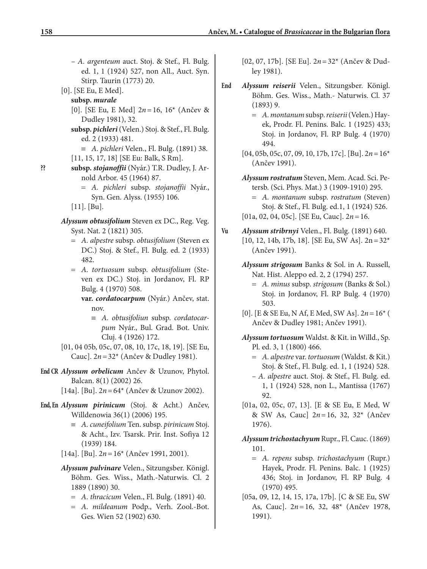- *A. argenteum* auct. Stoj. & Stef., Fl. Bulg. ed. 1, 1 (1924) 527, non All., Auct. Syn. Stirp. Taurin (1773) 20.
- [0]. [SE Eu, E Med].
	- **subsp.** *murale*
		- [0]. [SE Eu, E Med] 2*n* = 16, 16\* (Ančev & Dudley 1981), 32.
		- **subsp.** *pichleri*(Velen.) Stoj. & Stef., Fl. Bulg. ed. 2 (1933) 481.
			- ≡ *A. pichleri* Velen., Fl. Bulg. (1891) 38.
		- [11, 15, 17, 18] [SE Eu: Balk, S Rm].
- **?? subsp.** *stojanoffii* (Nyár.) T.R. Dudley, J. Arnold Arbor. 45 (1964) 87.
	- = *A. pichleri* subsp. *stojanoffii* Nyár., Syn. Gen. Alyss. (1955) 106.
	- [11]. [Bu].
	- *Alyssum obtusifolium* Steven ex DC., Reg. Veg. Syst. Nat. 2 (1821) 305.
		- = *A. alpestre* subsp. *obtusifolium* (Steven ex DC.) Stoj. & Stef., Fl. Bulg. ed. 2 (1933) 482.
		- = *A. tortuosum* subsp. *obtusifolium* (Steven ex DC.) Stoj. in Jordanov, Fl. RP Bulg. 4 (1970) 508.
			- **var.** *cordatocarpum* (Nyár.) Ančev, stat. nov.
				- ≡ *A. obtusifoliun* subsp. *cordatocarpum* Nyár., Bul. Grad. Bot. Univ. Cluj. 4 (1926) 172.
	- [01, 04 05b, 05c, 07, 08, 10, 17c, 18, 19]. [SE Eu, Cauc]. 2*n* = 32\* (Ančev & Dudley 1981).
- **End CR** *Alyssum orbelicum* Ančev & Uzunov, Phytol. Balcan. 8(1) (2002) 26.
	- [14a]. [Bu]. 2*n* = 64\* (Ančev & Uzunov 2002).
- **End, En** *Alyssum pirinicum* (Stoj. & Acht.) Ančev, Willdenowia 36(1) (2006) 195.
	- ≡ *A.cuneifolium* Ten. subsp. *pirinicum* Stoj. & Acht., Izv. Tsarsk. Prir. Inst. Sofiya 12 (1939) 184.
	- [14a]. [Bu]. 2*n* = 16\* (Ančev 1991, 2001).
	- *Alyssum pulvinare* Velen., Sitzungsber. Königl. Böhm. Ges. Wiss., Math.-Naturwis. Cl. 2 1889 (1890) 30.
		- = *A. thracicum* Velen., Fl. Bulg. (1891) 40.
		- = *A. mildeanum* Podp., Verh. Zool.-Bot. Ges. Wien 52 (1902) 630.
- [02, 07, 17b]. [SE Eu]. 2*n* = 32\* (Ančev & Dudley 1981).
- **End** *Alyssum reiserii* Velen., Sitzungsber. Königl. Böhm. Ges. Wiss., Math.- Naturwis. Cl. 37 (1893) 9.
	- = *A. montanum* subsp. *reiserii* (Velen.) Hayek, Prodr. Fl. Penins. Balc. 1 (1925) 433; Stoj. in Jordanov, Fl. RP Bulg. 4 (1970) 494.
	- [04, 05b, 05c, 07, 09, 10, 17b, 17c]. [Bu]. 2*n* = 16\* (Ančev 1991).
	- *Alyssum rostratum* Steven, Mem. Acad. Sci. Petersb. (Sci. Phys. Mat.) 3 (1909-1910) 295.
		- = *A. montanum* subsp. *rostratum* (Steven) Stoj. & Stef., Fl. Bulg. ed.1, 1 (1924) 526.
	- [01a, 02, 04, 05c]. [SE Eu, Cauc]. 2*n* = 16.
- **Vu** *Alyssum stribrnyi* Velen., Fl. Bulg. (1891) 640.  $[10, 12, 14b, 17b, 18]$ . [SE Eu, SW As].  $2n = 32$ <sup>\*</sup> (Ančev 1991).
	- *Alyssum strigosum* Banks & Sol. in A. Russell, Nat. Hist. Aleppo ed. 2, 2 (1794) 257.
		- = *A. minus* subsp. *strigosum* (Banks & Sol.) Stoj. in Jordanov, Fl. RP Bulg. 4 (1970) 503.
	- [0]. [E & SE Eu, N Af, E Med, SW As]. 2*n* = 16\* ( Ančev & Dudley 1981; Ančev 1991).

*Alyssum tortuosum* Waldst. & Kit. in Willd., Sp. Pl. ed. 3, 1 (1800) 466.

- = *A. alpestre* var. *tortuosum* (Waldst. & Kit.) Stoj. & Stef., Fl. Bulg. ed. 1, 1 (1924) 528.
- *A. alpestre* auct. Stoj. & Stef., Fl. Bulg. ed. 1, 1 (1924) 528, non L., Mantissa (1767) 92.
- [01a, 02, 05c, 07, 13]. [E & SE Eu, E Med, W & SW As, Cauc] 2*n* = 16, 32, 32\* (Ančev 1976).
- *Alyssum trichostachyum* Rupr., Fl. Cauc. (1869) 101.
	- = *A. repens* subsp. *trichostachyum* (Rupr.) Hayek, Prodr. Fl. Penins. Balc. 1 (1925) 436; Stoj. in Jordanov, Fl. RP Bulg. 4 (1970) 495.
- [05a, 09, 12, 14, 15, 17a, 17b]. [C & SE Eu, SW As, Cauc]. 2*n* = 16, 32, 48\* (Ančev 1978, 1991).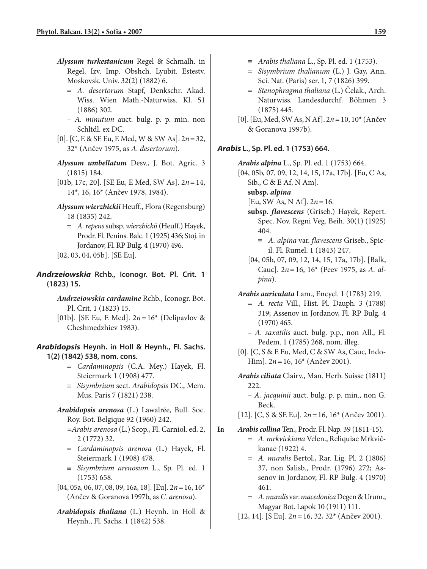- *Alyssum turkestanicum* Regel & Schmalh. in Regel, Izv. Imp. Obshch. Lyubit. Estestv. Moskovsk. Univ. 32(2) (1882) 6.
	- = *A. desertorum* Stapf, Denkschr. Akad. Wiss. Wien Math.-Naturwiss. Kl. 51 (1886) 302.
	- *A. minutum* auct. bulg. p. p. min. non Schltdl. ex DC.
- [0]. [C, E & SE Eu, E Med, W & SW As]. 2*n* = 32, 32\* (Ančev 1975, as *A. desertorum*).
- *Alyssum umbellatum* Desv., J. Bot. Agric. 3 (1815) 184.
- [01b, 17c, 20]. [SE Eu, E Med, SW As]. 2*n* = 14, 14\*, 16, 16\* (Ančev 1978, 1984).
- *Alyssum wierzbickii* Heuff., Flora (Regensburg) 18 (1835) 242.
	- = *A. repens* subsp. *wierzbickii* (Heuff.) Hayek, Prodr. Fl. Penins. Balc. 1 (1925) 436; Stoj. in Jordanov, Fl. RP Bulg. 4 (1970) 496.
- [02, 03, 04, 05b]. [SE Eu].
- *Andrzeiowskia* **Rchb., Iconogr. Bot. Pl. Crit. 1 (1823) 15.**
	- *Andrzeiowskia cardamine* Rchb., Iconogr. Bot. Pl. Crit. 1 (1823) 15.
	- [01b]. [SE Eu, E Med]. 2*n* = 16\* (Delipavlov & Cheshmedzhiev 1983).

*Arabidopsis* **Heynh. in Holl & Heynh., Fl. Sachs. 1(2) (1842) 538, nom. cons.**

- = *Cardaminopsis* (C.A. Mey.) Hayek, Fl. Steiermark 1 (1908) 477.
- ≡ *Sisymbrium* sect. *Arabidopsis* DC., Mem. Mus. Paris 7 (1821) 238.
- *Arabidopsis arenosa* (L.) Lawalrée, Bull. Soc. Roy. Bot. Belgique 92 (1960) 242.
	- *=Arabis arenosa* (L.) Scop., Fl. Carniol. ed. 2, 2 (1772) 32.
	- = *Cardaminopsis arenosa* (L.) Hayek, Fl. Steiermark 1 (1908) 478.
	- ≡ *Sisymbrium arenosum* L., Sp. Pl. ed. 1 (1753) 658.
- [04, 05a, 06, 07, 08, 09, 16a, 18]. [Eu]. 2*n* = 16, 16\* (Ančev & Goranova 1997b, as *C. arenosa*).
- *Arabidopsis thaliana* (L.) Heynh. in Holl & Heynh., Fl. Sachs. 1 (1842) 538.
- ≡ *Arabis thaliana* L., Sp. Pl. ed. 1 (1753).
- = *Sisymbrium thalianum* (L.) J. Gay, Ann. Sci. Nat. (Paris) ser. 1, 7 (1826) 399.
- = *Stenophragma thaliana* (L.) Čelak., Arch. Naturwiss. Landesdurchf. Böhmen 3 (1875) 445.
- [0]. [Eu, Med, SW As, N Af]. 2*n* = 10, 10\* (Ančev & Goranova 1997b).

#### *Arabis* **L., Sp. Pl. ed. 1 (1753) 664.**

*Arabis alpina* L., Sp. Pl. ed. 1 (1753) 664.

- [04, 05b, 07, 09, 12, 14, 15, 17a, 17b]. [Eu, C As, Sib., C & E Af, N Am].
	- **subsp.** *alpina*
	- [Еu, SW As, N Af]. 2*n* = 16.
	- **subsp.** *flavescens* (Griseb.) Hayek, Repert. Spec. Nov. Regni Veg. Beih. 30(1) (1925) 404.
		- ≡ *A. alpina* var. *flavescens* Griseb., Spicil. Fl. Rumel. 1 (1843) 247.
	- [04, 05b, 07, 09, 12, 14, 15, 17a, 17b]. [Balk, Cauc]. 2*n* = 16, 16\* (Peev 1975, as *A. alpina*).
- *Arabis auriculata* Lam., Encycl. 1 (1783) 219.
	- = *A. recta* Vill., Hist. Pl. Dauph. 3 (1788) 319; Assenov in Jordanov, Fl. RP Bulg. 4 (1970) 465.
	- *A. saxatilis* auct. bulg. p.p., non All., Fl. Pedem. 1 (1785) 268, nom. illeg.
- [0]. [C, S & E Eu, Med, C & SW As, Cauc, Indo-Him]. 2*n* = 16, 16\* (Ančev 2001).
- *Arabis ciliata* Clairv., Man. Herb. Suisse (1811) 222.
	- *A. jacquinii* auct. bulg. p. p. min., non G. Beck.
- [12]. [C, S & SE Eu]. 2*n* = 16, 16\* (Ančev 2001).

#### **En** *Arabis collina* Ten., Prodr. Fl. Nap. 39 (1811-15).

- = *A. mrkvickiana* Velen., Reliquiae Mrkvičkanae (1922) 4.
- = *A. muralis* Bertol., Rar. Lig. Pl. 2 (1806) 37, non Salisb., Prodr. (1796) 272; Assenov in Jordanov, Fl. RP Bulg. 4 (1970) 461.
- = *A. muralis* var. *macedonica* Degen & Urum., Magyar Bot. Lapok 10 (1911) 111.
- [12, 14]. [S Eu]. 2*n* = 16, 32, 32\* (Ančev 2001).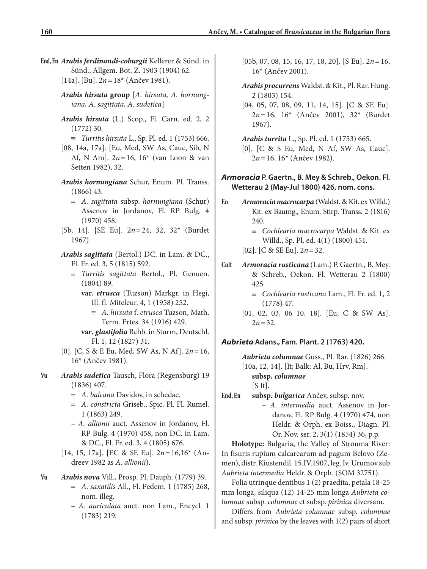- **End, En** *Arabis ferdinandi-coburgii* Kellerer & Sünd. in Sünd., Allgem. Bot. Z. 1903 (1904) 62. [14a]. [Bu]. 2*n* = 18\* (Ančev 1981).
	- *Arabis hirsuta* **group** [*A. hirsuta, A. hornungiana, A. sagittata, A. sudetica*]
	- *Arabis hirsuta* (L.) Scop., Fl. Carn. ed. 2, 2 (1772) 30.
		- ≡ *Turritis hirsuta* L., Sp. Pl. ed. 1 (1753) 666.
	- [08, 14a, 17a]. [Eu, Med, SW As, Cauc, Sib, N Af, N Am]. 2*n* = 16, 16\* (van Loon & van Setten 1982), 32.
	- *Arabis hornungiana* Schur, Enum. Pl. Transs. (1866) 43.
		- = *A. sagittata* subsp. *hornungiana* (Schur) Assenov in Jordanov, Fl. RP Bulg. 4 (1970) 458.
	- [5b, 14]. [SE Eu]. 2*n* = 24, 32, 32\* (Burdet 1967).

*Arabis sagittata* (Bertol.) DC. in Lam. & DC., Fl. Fr. ed. 3, 5 (1815) 592.

≡ *Turritis sagittata* Bertol., Pl. Genuen. (1804) 89.

**var.** *etrusca* (Tuzson) Markgr. in Hegi, Ill. fl. Miteleur. 4, 1 (1958) 252.

- ≡ *A. hirsuta* f. *etrusca* Tuzson, Math. Term. Ertes. 34 (1916) 429.
- **var***. glastifolia* Rchb. in Sturm, Deutschl. Fl. 1, 12 (1827) 31.
- [0]. [C, S & E Eu, Med, SW As, N Af]. 2*n* = 16, 16\* (Ančev 1981).
- **Vu** *Arabis sudetica* Tausch, Flora (Regensburg) 19 (1836) 407.
	- = *A. balcana* Davidov, in schedae.
	- = *A. constricta* Griseb., Spic. Pl. Fl. Rumel. 1 (1863) 249.
	- *A. allionii* auct. Assenov in Jordanov, Fl. RP Bulg. 4 (1970) 458, non DC. in Lam. & DC., Fl. Fr. ed. 3, 4 (1805) 676.
	- [14, 15, 17a]. [EC & SE Eu]. 2*n* = 16,16\* (Andreev 1982 as *A. allionii*).

### **Vu** *Arabis nova* Vill., Prosp. Pl. Dauph. (1779) 39. = *A. saxatilis* All., Fl. Pedem. 1 (1785) 268, nom. illeg.

– *A. auriculata* auct. non Lam., Encycl. 1 (1783) 219.

- [05b, 07, 08, 15, 16, 17, 18, 20]. [S Eu]. 2*n* = 16, 16\* (Ančev 2001).
- *Arabis procurrens* Waldst. & Kit., Pl. Rar. Hung. 2 (1803) 154.
- [04, 05, 07, 08, 09, 11, 14, 15]. [C & SE Eu]. 2*n* = 16, 16\* (Ančev 2001), 32\* (Burdet 1967).

*Arabis turrita* L., Sp. Pl. ed. 1 (1753) 665. [0]. [C & S Eu, Med, N Af, SW As, Cauc]. 2*n* = 16, 16\* (Ančev 1982).

### *Armoracia* **P. Gaertn., B. Mey & Schreb., Oekon. Fl. Wetterau 2 (May-Jul 1800) 426, nom. cons.**

- **En** *Armoracia macrocarpa* (Waldst. & Kit. ex Willd.) Kit. ex Baumg., Enum. Stirp. Transs. 2 (1816) 240.
	- ≡ *Cochlearia macrocarpa* Waldst. & Kit. ex Willd., Sp. Pl. ed. 4(1) (1800) 451.
	- [02]. [C & SE Eu]. 2*n* = 32.
- **Cult** *Armoracia rusticana* (Lam.) P. Gaertn., B. Mey. & Schreb., Oekon. Fl. Wetterau 2 (1800) 425.
	- ≡ *Cochlearia rusticana* Lam., Fl. Fr. ed. 1, 2 (1778) 47.
	- [01, 02, 03, 06 10, 18]. [Eu, C & SW As].  $2n = 32$ .

### *Aubrieta* **Adans., Fam. Plant. 2 (1763) 420.**

*Aubrieta columnae* Guss., Pl. Rar. (1826) 266.

[10a, 12, 14]. [It; Balk: Al, Bu, Hrv, Rm].

**subsp.** *columnae*

 $[S It]$ .

**End, En subsp.** *bulgarica* Ančev, subsp. nov.

– *A. intermedia* auct. Assenov in Jordanov, Fl. RP Bulg. 4 (1970) 474, non Heldr. & Orph. ex Boiss., Diagn. Pl. Or. Nov. ser. 2, 3(1) (1854) 36, p.p.

**Holotype:** Bulgaria, the Valley of Strouma River: In fisuris rupium calcarearum ad pagum Belovo (Zemen), distr. Kiustendil. 15.IV.1907, leg. Iv. Urumov sub *Aubrieta intermedia* Heldr. & Orph. (SOM 32751).

Folia utrinque dentibus 1 (2) praedita, petala 18-25 mm longa, siliqua (12) 14-25 mm longa *Aubrieta columnae* subsp. *columnae* et subsp. *pirinica* diversam.

Differs from *Aubrieta columnae* subsp. *columnae* and subsp. *pirinica* by the leaves with 1(2) pairs of short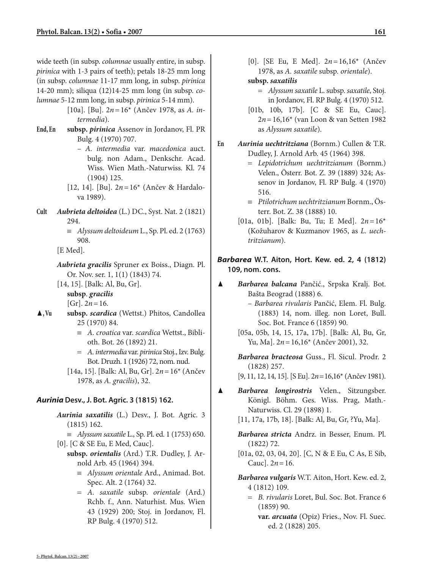wide teeth (in subsp. *columnae* usually entire, in subsp. *pirinica* with 1-3 pairs of teeth); petals 18-25 mm long (in subsp. *columnae* 11-17 mm long, in subsp. *pirinica* 14-20 mm); siliqua (12)14-25 mm long (in subsp. *columnae* 5-12 mm long, in subsp. *pirinica* 5-14 mm).

- [10a]. [Bu]. 2*n* = 16\* (Ančev 1978, as *A. intermedia*).
- **End, En subsp.** *pirinica* Assenov in Jordanov, Fl. PR Bulg. 4 (1970) 707.
	- *A. intermedia* var. *macedonica* auct. bulg. non Adam., Denkschr. Acad. Wiss. Wien Math.-Naturwiss. Kl. 74 (1904) 125.
	- [12, 14]. [Bu]. 2*n* = 16\* (Ančev & Hardalova 1989).
- **Cult** *Aubrieta deltoidea* (L.) DC., Syst. Nat. 2 (1821) 294.
	- ≡ *Alyssum deltoideum* L., Sp. Pl. ed. 2 (1763) 908.

[E Med].

*Aubrieta gracilis* Spruner ex Boiss., Diagn. Pl. Or. Nov. ser. 1, 1(1) (1843) 74.

[14, 15]. [Balk: Al, Bu, Gr]. **subsp**. *gracilis*

 $[Gr]$ .  $2n = 16$ .

- ▲**, Vu subsp.** *scardica* (Wettst.) Phitos, Candollea 25 (1970) 84.
	- ≡ *A. croatica* var. *scardica* Wettst., Biblioth. Bot. 26 (1892) 21.
	- = *A. intermedia* var. *pirinica* Stoj., Izv. Bulg. Bot. Druzh. 1 (1926) 72, nom. nud.
	- [14a, 15]. [Balk: Al, Bu, Gr]. 2*n* = 16\* (Ančev 1978, as *A. gracilis*), 32.

### *Aurinia* **Desv., J. Bot. Agric. 3 (1815) 162.**

- *Aurinia saxatilis* (L.) Desv., J. Bot. Agric. 3 (1815) 162.
	- ≡ *Alyssum saxatile* L., Sp. Pl. ed. 1 (1753) 650.
- [0]. [C & SE Eu, E Med, Cauc].
	- **subsp.** *orientalis* (Ard.) T.R. Dudley, J. Arnold Arb. 45 (1964) 394.
		- ≡ *Alyssum orientale* Ard., Animad. Bot. Spec. Alt. 2 (1764) 32.
		- = *A. saxatile* subsp. *orientale* (Ard.) Rchb. f., Ann. Naturhist. Mus. Wien 43 (1929) 200; Stoj. in Jordanov, Fl. RP Bulg. 4 (1970) 512.

[0]. [SE Eu, E Med]. 2*n* = 16,16\* (Ančev 1978, as *A. saxatile* subsp. *orientale*).

### **subsp.** *saxatilis*

- = *Alyssum saxatile* L. subsp. *saxatile*, Stoj. in Jordanov, Fl. RP Bulg. 4 (1970) 512.
- [01b, 10b, 17b]. [C & SE Eu, Cauc]. 2*n* = 16,16\* (van Loon & van Setten 1982 as *Alyssum saxatile*).
- **En** *Aurinia uechtritziana* (Bornm.) Cullen & T.R. Dudley, J. Arnold Arb. 45 (1964) 398.
	- = *Lepidotrichum uechtritzianum* (Bornm.) Velen., Österr. Bot. Z. 39 (1889) 324; Assenov in Jordanov, Fl. RP Bulg. 4 (1970) 516.
	- ≡ *Ptilotrichum uechtritzianum* Bornm., Österr. Bot. Z. 38 (1888) 10.
	- [01a, 01b]. [Balk: Bu, Tu; E Med]. 2*n* = 16\* (Kožuharov & Kuzmanov 1965, as *L. uechtritzianum*).

## *Barbarea* **W.T. Aiton, Hort. Kew. ed. 2, 4 (1812) 109, nom. cons.**

- ▲ *Barbarea balcana* Pančić., Srpska Kralj. Bot. Bašta Beograd (1888) 6.
	- *Barbarea rivularis* Pančić, Elem. Fl. Bulg. (1883) 14, nom. illeg. non Loret, Bull. Soc. Bot. France 6 (1859) 90.
	- [05a, 05b, 14, 15, 17a, 17b]. [Balk: Al, Bu, Gr, Yu, Ma]. 2*n* = 16,16\* (Ančev 2001), 32.
	- *Barbarea bracteosa* Guss., Fl. Sicul. Prodr. 2 (1828) 257.

[9, 11, 12, 14, 15]. [S Eu]. 2*n* = 16,16\* (Ančev 1981).

- ▲ *Barbarea longirostris* Velen., Sitzungsber. Königl. Böhm. Ges. Wiss. Prag, Math.- Naturwiss. Cl. 29 (1898) 1.
	- [11, 17a, 17b, 18]. [Balk: Al, Bu, Gr, ?Yu, Ma].
	- *Barbarea stricta* Andrz. in Besser, Enum. Pl. (1822) 72.
	- [01a, 02, 03, 04, 20]. [C, N & E Eu, C As, E Sib, Cauc].  $2n = 16$ .
	- *Barbarea vulgaris* W.T. Aiton, Hort. Kew. ed. 2, 4 (1812) 109.
		- = *B. rivularis* Loret, Bul. Soc. Bot. France 6 (1859) 90.
			- **var.** *arcuata* (Opiz) Fries., Nov. Fl. Suec. ed. 2 (1828) 205.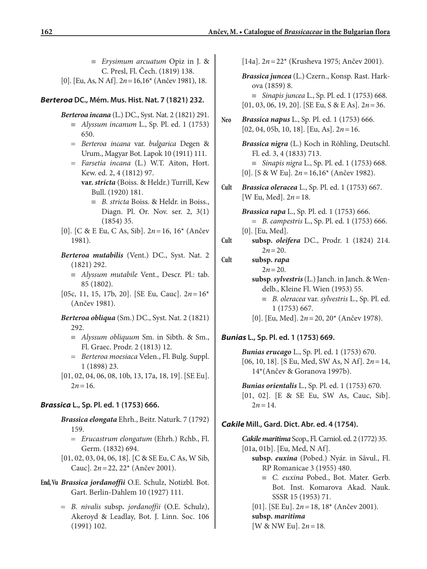- ≡ *Erysimum arcuatum* Opiz in J. & C. Presl, Fl. Čech. (1819) 138.
- [0]. [Eu, As, N Af]. 2*n* = 16,16\* (Ančev 1981), 18.

## *Berteroa* **DC., Mém. Mus. Hist. Nat. 7 (1821) 232.**

*Berteroa incana* (L.) DC., Syst. Nat. 2 (1821) 291.

- ≡ *Alyssum incanum* L., Sp. Pl. ed. 1 (1753) 650.
- = *Berteroa incana* var. *bulgarica* Degen & Urum., Magyar Bot. Lapok 10 (1911) 111.
- = *Farsetia incana* (L.) W.T. Aiton, Hort. Kew. ed. 2, 4 (1812) 97. **var.** *stricta* (Boiss. & Heldr.) Turrill, Kew
	- Bull. (1920) 181.
		- ≡ *B. stricta* Boiss. & Heldr. in Boiss., Diagn. Pl. Or. Nov. ser. 2, 3(1) (1854) 35.
- [0]. [C & E Eu, C As, Sib]. 2*n* = 16, 16\* (Ančev 1981).

*Berteroa mutabilis* (Vent.) DC., Syst. Nat. 2 (1821) 292.

- ≡ *Alyssum mutabile* Vent., Descr. Pl.: tab. 85 (1802).
- [05c, 11, 15, 17b, 20]. [SE Eu, Cauc]. 2*n* = 16\* (Ančev 1981).
- *Berteroa obliqua* (Sm.) DC., Syst. Nat. 2 (1821) 292.
	- ≡ *Alyssum obliquum* Sm. in Sibth. & Sm., Fl. Graec. Prodr. 2 (1813) 12.
	- = *Berteroa moesiaca* Velen., Fl. Bulg. Suppl. 1 (1898) 23.
- [01, 02, 04, 06, 08, 10b, 13, 17a, 18, 19]. [SE Eu].  $2n = 16$ .

## *Brassica* **L., Sp. Pl. ed. 1 (1753) 666.**

- *Brassica elongata* Ehrh., Beitr. Naturk. 7 (1792) 159.
	- = *Erucastrum elongatum* (Ehrh.) Rchb., Fl. Germ. (1832) 694.
- [01, 02, 03, 04, 06, 18]. [C & SE Eu, C As, W Sib, Cauc]. 2*n* = 22, 22\* (Ančev 2001).
- **End, Vu** *Brassica jordanoffii* O.E. Schulz, Notizbl. Bot. Gart. Berlin-Dahlem 10 (1927) 111.
	- = *B. nivalis* subsp*. jordanoffii* (O.E. Schulz), Akeroyd & Leadlay, Bot. J. Linn. Soc. 106 (1991) 102.

[14a]. 2*n* = 22\* (Krusheva 1975; Ančev 2001).

*Brassica juncea* (L.) Czern., Konsp. Rast. Harkova (1859) 8. ≡ *Sinapis juncea* L., Sp. Pl. ed. 1 (1753) 668. [01, 03, 06, 19, 20]. [SE Eu, S & E As]. 2*n* = 36. **Neo** *Brassica napus* L., Sp. Pl. ed. 1 (1753) 666. [02, 04, 05b, 10, 18]. [Eu, As]. 2*n* = 16. *Brassica nigra* (L.) Koch in Röhling, Deutschl. Fl. ed. 3, 4 (1833) 713. ≡ *Sinapis nigra* L., Sp. Pl. ed. 1 (1753) 668. [0]. [S & W Eu]. 2*n* = 16,16\* (Ančev 1982). **Cult** *Brassica oleracea* L., Sp. Pl. ed. 1 (1753) 667. [W Eu, Med]. 2*n* = 18. *Brassica rapa* L., Sp. Pl. ed. 1 (1753) 666. = *B. campestris* L., Sp. Pl. ed. 1 (1753) 666. [0]. [Eu, Med]. **Cult subsp.** *oleifera* DC., Prodr. 1 (1824) 214.

- $2n = 20$ .
- **Cult subsp.** *rapa*  $2n = 20$ . **subsp**.*sylvestris*(L.) Janch. in Janch. & Wendelb., Kleine Fl. Wien (1953) 55. ≡ *B. oleracea* var. *sylvestris* L., Sp. Pl. ed. 1 (1753) 667.
	- [0]. [Eu, Med]. 2*n* = 20, 20\* (Ančev 1978).

## *Bunias* **L., Sp. Pl. ed. 1 (1753) 669.**

*Bunias erucago* L., Sp. Pl. ed. 1 (1753) 670. [06, 10, 18]. [S Eu, Med, SW As, N Af]. 2*n* = 14, 14\*(Ančev & Goranova 1997b).

*Bunias orientalis* L., Sp. Pl. ed. 1 (1753) 670. [01, 02]. [E & SE Eu, SW As, Cauc, Sib].  $2n = 14$ .

## *Cakile* **Mill., Gard. Dict. Abr. ed. 4 (1754).**

*Cakile maritima* Scop., Fl. Carniol. ed. 2 (1772) 35. [01a, 01b]. [Eu, Med, N Af].

- **subsp.** *euxina* (Pobed.) Nyár. in Sãvul., Fl. RP Romanicae 3 (1955) 480.
	- ≡ *C. euxina* Pobed., Bot. Mater. Gerb. Bot. Inst. Komarova Akad. Nauk. SSSR 15 (1953) 71.
- [01]. [SE Eu]. 2*n* = 18, 18\* (Ančev 2001). **subsp.** *maritima*

[W & NW Eu]. 2*n* = 18.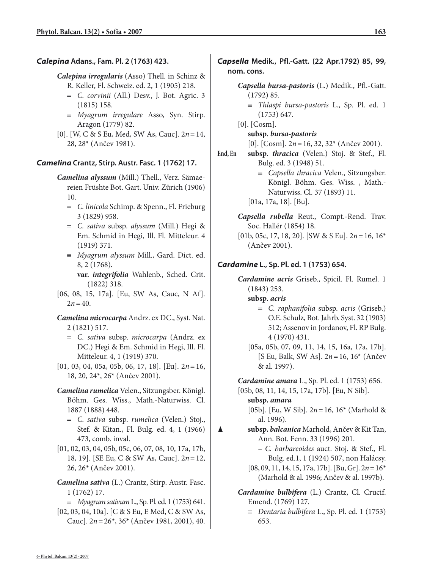### *Calepina* **Adans., Fam. Pl. 2 (1763) 423.**

*Calepina irregularis* (Asso) Thell. in Schinz &

- R. Keller, Fl. Schweiz. ed. 2, 1 (1905) 218.
- = *C. corvinii* (All.) Desv., J. Bot. Agric. 3 (1815) 158.
- ≡ *Myagrum irregulare* Asso, Syn. Stirp. Aragon (1779) 82.
- [0]. [W, C & S Eu, Med, SW As, Cauc]. 2*n* = 14, 28, 28\* (Ančev 1981).

### *Camelina* **Crantz, Stirp. Austr. Fasc. 1 (1762) 17.**

- *Camelina alyssum* (Mill.) Thell., Verz. Sämaereien Früshte Bot. Gart. Univ. Zürich (1906) 10.
	- = *C. linicola* Schimp. & Spenn., Fl. Frieburg 3 (1829) 958.
	- = *C. sativa* subsp. *alyssum* (Mill.) Hegi & Em. Schmid in Hegi, Ill. Fl. Mitteleur. 4 (1919) 371.
	- ≡ *Myagrum alyssum* Mill., Gard. Dict. ed. 8, 2 (1768).

**var.** *integrifolia* Wahlenb., Sched. Crit. (1822) 318.

[06, 08, 15, 17a]. [Eu, SW As, Cauc, N Af].  $2n = 40$ .

### *Camelina microcarpa* Andrz. ex DC., Syst. Nat. 2 (1821) 517.

- = *C. sativa* subsp. *microcarpa* (Andrz. ex DC.) Hegi & Em. Schmid in Hegi, Ill. Fl. Mitteleur. 4, 1 (1919) 370.
- [01, 03, 04, 05a, 05b, 06, 17, 18]. [Eu]. 2*n* = 16, 18, 20, 24\*, 26\* (Ančev 2001).
- *Camelina rumelica* Velen., Sitzungsber. Königl. Böhm. Ges. Wiss., Math.-Naturwiss. Cl. 1887 (1888) 448.
	- = *C. sativa* subsp. *rumelica* (Velen.) Stoj., Stef. & Kitan., Fl. Bulg. ed. 4, 1 (1966) 473, comb. inval.
- [01, 02, 03, 04, 05b, 05c, 06, 07, 08, 10, 17a, 17b, 18, 19]. [SE Eu, C & SW As, Cauc]. 2*n* = 12, 26, 26\* (Ančev 2001).
- *Camelina sativa* (L.) Crantz, Stirp. Austr. Fasc. 1 (1762) 17.

≡ *Myagrum sativum* L., Sp. Pl. ed. 1 (1753) 641. [02, 03, 04, 10a]. [C & S Eu, E Med, C & SW As, Cauc]. 2*n* = 26\*, 36\* (Ančev 1981, 2001), 40.

## *Capsella* **Medik., Pfl.-Gatt. (22 Apr.1792) 85, 99, nom. cons.**

### *Capsella bursa-pastoris* (L.) Medik., Pfl.-Gatt. (1792) 85.

- ≡ *Thlaspi bursa-pastoris* L., Sp. Pl. ed. 1 (1753) 647.
- [0]. [Cosm].

### **subsp.** *bursa-pastoris*

[0]. [Cosm]. 2*n* = 16, 32, 32\* (Ančev 2001).

**End, En subsp.** *thracica* (Velen.) Stoj. & Stef., Fl. Bulg. ed. 3 (1948) 51.

> ≡ *Capsella thracica* Velen., Sitzungsber. Königl. Böhm. Ges. Wiss. , Math.- Natur wiss. Cl. 37 (1893) 11.

[01a, 17a, 18]. [Bu].

*Capsella rubella* Reut., Compt.-Rend. Trav. Soc. Hallér (1854) 18.

[01b, 05c, 17, 18, 20]. [SW & S Eu]. 2*n* = 16, 16\* (Ančev 2001).

### *Cardamine* **L., Sp. Pl. ed. 1 (1753) 654.**

- *Cardamine acris* Griseb., Spicil. Fl. Rumel. 1 (1843) 253.
	- **subsp.** *acris*
		- = *C. raphanifolia* subsp. *acris* (Griseb.) O.E. Schulz, Bot. Jahrb. Syst. 32 (1903) 512; Assenov in Jordanov, Fl. RP Bulg. 4 (1970) 431.
	- [05a, 05b, 07, 09, 11, 14, 15, 16a, 17a, 17b]. [S Eu, Balk, SW As]. 2*n* = 16, 16\* (Ančev & al. 1997).

*Cardamine amara* L., Sp. Pl. ed. 1 (1753) 656.

[05b, 08, 11, 14, 15, 17a, 17b]. [Eu, N Sib].

**subsp.** *amara*

[05b]. [Eu, W Sib]. 2*n* = 16, 16\* (Marhold & al. 1996).

▲ **subsp.** *balcanica* Marhold, Ančev & Kit Tan, Ann. Bot. Fenn. 33 (1996) 201.

> – *C. barbareoides* auct. Stoj. & Stef., Fl. Bulg. ed.1, 1 (1924) 507, non Halácsy.

- [08, 09, 11, 14, 15, 17a, 17b]. [Bu, Gr]. 2*n* = 16\* (Marhold & al. 1996; Ančev & al. 1997b).
- *Cardamine bulbifera* (L.) Crantz, Cl. Crucif. Emend. (1769) 127.
	- ≡ *Dentaria bulbifera* L., Sp. Pl. ed. 1 (1753) 653.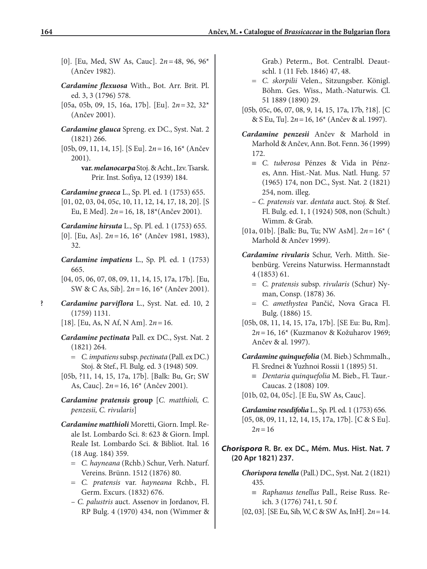- [0]. [Eu, Med, SW As, Cauc]. 2*n* = 48, 96, 96\* (Ančev 1982).
- *Cardamine flexuosa* With., Bot. Arr. Brit. Pl. ed. 3, 3 (1796) 578.
- [05a, 05b, 09, 15, 16a, 17b]. [Eu]. 2*n* = 32, 32\* (Ančev 2001).
- *Cardamine glauca* Spreng. ex DC., Syst. Nat. 2 (1821) 266.
- [05b, 09, 11, 14, 15]. [S Eu]. 2*n* = 16, 16\* (Ančev 2001).
	- **var.***melanocarpa* Stoj. & Acht., Izv. Tsarsk. Prir. Inst. Sofiya, 12 (1939) 184.
- *Cardamine graeca* L., Sp. Pl. ed. 1 (1753) 655.
- [01, 02, 03, 04, 05c, 10, 11, 12, 14, 17, 18, 20]. [S Eu, E Med]. 2*n* = 16, 18, 18\*(Ančev 2001).
- *Cardamine hirsuta* L., Sp. Pl. ed. 1 (1753) 655. [0]. [Eu, As]. 2*n* = 16, 16\* (Ančev 1981, 1983), 32.
- *Cardamine impatiens* L., Sp. Pl. ed. 1 (1753) 665.
- [04, 05, 06, 07, 08, 09, 11, 14, 15, 17a, 17b]. [Eu, SW & C As, Sib]. 2*n* = 16, 16\* (Ančev 2001).
- **?** *Cardamine parviflora* L., Syst. Nat. ed. 10, 2 (1759) 1131.
	- [18]. [Eu, As, N Af, N Am]. 2*n* = 16.
	- *Cardamine pectinata* Pall. ex DC., Syst. Nat. 2 (1821) 264.
		- = *C. impatiens* subsp. *pectinata* (Pall. ex DC.) Stoj. & Stef., Fl. Bulg. ed. 3 (1948) 509.
	- [05b, ?11, 14, 15, 17a, 17b]. [Balk: Bu, Gr; SW As, Cauc]. 2*n* = 16, 16\* (Ančev 2001).
	- *Cardamine pratensis* **group** [*C. matthioli, C. penzesii, C. rivularis*]
	- *Cardamine matthioli* Moretti, Giorn. Impl. Reale Ist. Lombardo Sci. 8: 623 & Giorn. Impl. Reale Ist. Lombardo Sci. & Bibliot. Ital. 16 (18 Aug. 184) 359.
		- = *C. hayneana* (Rchb.) Schur, Verh. Naturf. Vereins. Brünn. 1512 (1876) 80.
		- = *C. pratensis* var. *hayneana* Rchb., Fl. Germ. Excurs. (1832) 676.
		- *C. palustris* auct. Assenov in Jordanov, Fl. RP Bulg. 4 (1970) 434, non (Wimmer &

Grab.) Peterm., Bot. Centralbl. Deautschl. 1 (11 Feb. 1846) 47, 48.

- = *C. skorpilii* Velen., Sitzungsber. Königl. Böhm. Ges. Wiss., Math.-Naturwis. Cl. 51 1889 (1890) 29.
- [05b, 05c, 06, 07, 08, 9, 14, 15, 17a, 17b, ?18]. [C & S Eu, Tu]. 2*n* = 16, 16\* (Ančev & al. 1997).
- *Cardamine penzesii* Ančev & Marhold in Marhold & Ančev, Ann. Bot. Fenn. 36 (1999) 172.
	- ≡ *C. tuberosa* Pénzes & Vida in Pénzes, Ann. Hist.-Nat. Mus. Natl. Hung. 57 (1965) 174, non DC., Syst. Nat. 2 (1821) 254, nom. illeg.
	- *C. pratensis* var*. dentata* auct. Stoj. & Stef. Fl. Bulg. ed. 1, 1 (1924) 508, non (Schult.) Wimm. & Grab.
- [01a, 01b]. [Balk: Bu, Tu; NW AsM]. 2*n* = 16\* ( Marhold & Ančev 1999).
- *Cardamine rivularis* Schur, Verh. Mitth. Siebenbürg. Vereins Naturwiss. Hermannstadt 4 (1853) 61.
	- = *C. pratensis* subsp. *rivularis* (Schur) Nyman, Consp. (1878) 36.
	- = *C. amethystea* Pančić, Nova Graca Fl. Bulg. (1886) 15.
- [05b, 08, 11, 14, 15, 17a, 17b]. [SE Eu: Bu, Rm]. 2*n* = 16, 16\* (Kuzmanov & Kožuharov 1969; Ančev & al. 1997).

*Cardamine quinquefolia* (M. Bieb.) Schmmalh.,

- Fl. Srednei & Yuzhnoi Rossii 1 (1895) 51.
- ≡ *Dentaria quinquefolia* M. Bieb., Fl. Taur.- Caucas. 2 (1808) 109.
- [01b, 02, 04, 05c]. [E Eu, SW As, Cauc].

## *Chorispora* **R. Br. ex DC., Mém. Mus. Hist. Nat. 7 (20 Apr 1821) 237.**

*Chorispora tenella* (Pall.) DC., Syst. Nat. 2 (1821) 435.

≡ *Raphanus tenellus* Pall., Reise Russ. Reich. 3 (1776) 741, t. 50 f.

[02, 03]. [SE Eu, Sib, W, C & SW As, InH]. 2*n* = 14.

*Cardamine resedifolia* L., Sp. Pl. ed. 1 (1753) 656. [05, 08, 09, 11, 12, 14, 15, 17a, 17b]. [C & S Eu].  $2n = 16$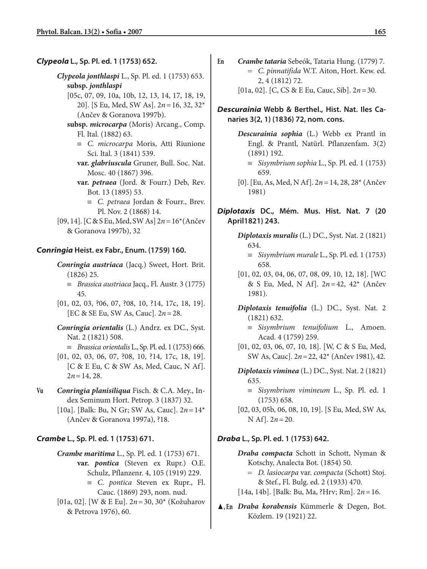### *Clypeola* **L., Sp. Pl. ed. 1 (1753) 652.**

- *Clypeola jonthlaspi* L., Sp. Pl. ed. 1 (1753) 653. **subsp.** *jonthlaspi*
	- [05c, 07, 09, 10a, 10b, 12, 13, 14, 17, 18, 19, 20]. [S Eu, Med, SW As]. 2*n* = 16, 32, 32\* (Ančev & Goranova 1997b).
	- **subsp.** *microcarpa* (Moris) Arcang., Comp. Fl. Ital. (1882) 63.
		- ≡ *C. microcarpa* Moris, Atti Riunione Sci. Ital. 3 (1841) 539.
		- **var.** *glabriuscula* Gruner, Bull. Soc. Nat. Mosc. 40 (1867) 396.
		- **var.** *petraea* (Jord. & Fourr.) Deb, Rev. Bot. 13 (1895) 53.
			- ≡ *C. petraea* Jordan & Fourr., Brev. Pl. Nov. 2 (1868) 14.
- [09, 14]. [C & S Eu, Med, SW As] 2*n* = 16\*(Ančev & Goranova 1997b), 32

### *Conringia* **Heist. ex Fabr., Enum. (1759) 160.**

- *Conringia austriaca* (Jacq.) Sweet, Hort. Brit. (1826) 25.
	- ≡ *Brassica austriaca* Jacq., Fl. Austr. 3 (1775) 45.
- [01, 02, 03, ?06, 07, ?08, 10, ?14, 17c, 18, 19]. [EC & SE Eu, SW As, Cauc]. 2*n* = 28.
- *Conringia orientalis* (L.) Andrz. ex DC., Syst. Nat. 2 (1821) 508.
	- ≡ *Brassica orientalis* L., Sp. Pl. ed. 1 (1753) 666.
- [01, 02, 03, 06, 07, ?08, 10, ?14, 17c, 18, 19]. [C & E Eu, C & SW As, Med, Cauc, N Af].  $2n = 14, 28.$
- **Vu** *Conringia planisiliqua* Fisch. & C.A. Mey., Index Seminum Hort. Petrop. 3 (1837) 32.
	- [10a]. [Balk: Bu, N Gr; SW As, Cauc]. 2*n* = 14\* (Ančev & Goranova 1997a), ?18.

### *Crambe* **L., Sp. Pl. ed. 1 (1753) 671.**

- *Crambe maritima* L., Sp. Pl. ed. 1 (1753) 671. **var.** *pontica* (Steven ex Rupr.) O.E. Schulz, Pflanzenr. 4, 105 (1919) 229.
	- ≡ *C. pontica* Steven ex Rupr., Fl. Cauc. (1869) 293, nom. nud.
- [01a, 02]. [W & E Eu]. 2*n* = 30, 30\* (Kožuharov & Petrova 1976), 60.
- **En** *Crambe tataria* Sebeók, Tataria Hung. (1779) 7. = *C. pinnatifida* W.T. Aiton, Hort. Kew. ed. 2, 4 (1812) 72.
	- [01a, 02]. [C, CS & E Eu, Cauc, Sib]. 2*n* = 30.

### *Descurainia* **Webb & Berthel., Hist. Nat. Iles Canaries 3(2, 1) (1836) 72, nom. cons.**

- *Descurainia sophia* (L.) Webb ex Prantl in Engl. & Prantl, Natürl. Pflanzenfam. 3(2) (1891) 192.
	- ≡ *Sisymbrium sophia* L., Sp. Pl. ed. 1 (1753) 659.
- [0]. [Eu, As, Med, N Af]. 2*n* = 14, 28, 28\* (Ančev 1981)

### *Diplotaxis* **DC., Mém. Mus. Hist. Nat. 7 (20 April1821) 243.**

- *Diplotaxis muralis* (L.) DC., Syst. Nat. 2 (1821) 634.
	- ≡ *Sisymbrium murale* L., Sp. Pl. ed. 1 (1753) 658.
- [01, 02, 03, 04, 06, 07, 08, 09, 10, 12, 18]. [WC & S Eu, Med, N Af]. 2*n* = 42, 42\* (Ančev 1981).
- *Diplotaxis tenuifolia* (L.) DC., Syst. Nat. 2 (1821) 632.
	- ≡ *Sisymbrium tenuifolium* L., Amoen. Acad. 4 (1759) 259.
- [01, 02, 03, 06, 07, 10, 18]. [W, C & S Eu, Med, SW As, Cauc]. 2*n* = 22, 42\* (Ančev 1981), 42.
- *Diplotaxis viminea* (L.) DC., Syst. Nat. 2 (1821) 635.
	- ≡ *Sisymbrium vimineum* L., Sp. Pl. ed. 1 (1753) 658.
- [02, 03, 05b, 06, 08, 10, 19]. [S Eu, Med, SW As, N Af]. 2*n* = 20.

#### *Draba* **L., Sp. Pl. ed. 1 (1753) 642.**

- *Draba compacta* Schott in Schott, Nyman & Kotschy, Analecta Bot. (1854) 50.
	- = *D. lasiocarpa* var. *compacta* (Schott) Stoj. & Stef., Fl. Bulg. ed. 2 (1933) 470.
- [14a, 14b]. [Balk: Bu, Ma, ?Hrv; Rm]. 2*n* = 16.
- ▲**, En** *Draba korabensis* Kümmerle & Degen, Bot. Közlem. 19 (1921) 22.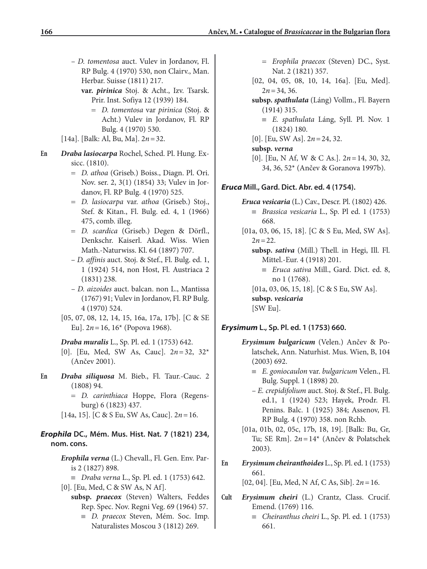- *D. tomentosa* auct. Vulev in Jordanov, Fl. RP Bulg. 4 (1970) 530, non Clairv., Man. Herbar. Suisse (1811) 217.
	- **var.** *pirinica* Stoj. & Acht., Izv. Tsarsk. Prir. Inst. Sofiya 12 (1939) 184.
		- = *D. tomentosa* var *pirinica* (Stoj. & Acht.) Vulev in Jordanov, Fl. RP Bulg. 4 (1970) 530.
- [14a]. [Balk: Al, Bu, Ma]. 2*n* = 32.
- **En** *Draba lasiocarpa* Rochel, Sched. Pl. Hung. Exsicc. (1810).
	- = *D. athoa* (Griseb.) Boiss., Diagn. Pl. Ori. Nov. ser. 2, 3(1) (1854) 33; Vulev in Jordanov, Fl. RP Bulg. 4 (1970) 525.
	- = *D. lasiocarpa* var. *athoa* (Griseb.) Stoj., Stef. & Kitan., Fl. Bulg. ed. 4, 1 (1966) 475, comb. illeg.
	- = *D. scardica* (Griseb.) Degen & Dörfl., Denkschr. Kaiserl. Akad. Wiss. Wien Math.-Naturwiss. Kl. 64 (1897) 707.
	- *D. affinis* auct. Stoj. & Stef., Fl. Bulg. ed. 1, 1 (1924) 514, non Host, Fl. Austriaca 2 (1831) 238.
	- *D. aizoides* auct. balcan. non L., Mantissa (1767) 91; Vulev in Jordanov, Fl. RP Bulg. 4 (1970) 524.
	- [05, 07, 08, 12, 14, 15, 16a, 17a, 17b]. [C & SE Eu]. 2*n* = 16, 16\* (Popova 1968).

*Draba muralis* L., Sp. Pl. ed. 1 (1753) 642. [0]. [Eu, Med, SW As, Cauc]. 2*n* = 32, 32\* (Ančev 2001).

- **En** *Draba siliquosa* M. Bieb., Fl. Taur.-Cauc. 2 (1808) 94.
	- = *D. carinthiaca* Hoppe, Flora (Regensburg) 6 (1823) 437.
	- [14a, 15]. [C & S Eu, SW As, Cauc]. 2*n* = 16.

## *Erophila* **DC., Mém. Mus. Hist. Nat. 7 (1821) 234, nom. cons.**

- *Erophila verna* (L.) Chevall., Fl. Gen. Env. Paris 2 (1827) 898.
	- ≡ *Draba verna* L., Sp. Pl. ed. 1 (1753) 642.
- [0]. [Eu, Med, C & SW As, N Af].
	- **subsp.** *praecox* (Steven) Walters, Feddes Rep. Spec. Nov. Regni Veg. 69 (1964) 57.
		- ≡ *D. praecox* Steven, Mém. Soc. Imp. Naturalistes Moscou 3 (1812) 269.
- = *Erophila praecox* (Steven) DC., Syst. Nat. 2 (1821) 357.
- [02, 04, 05, 08, 10, 14, 16a]. [Eu, Med].  $2n = 34, 36.$
- **subsp.** *spathulata* (Láng) Vollm., Fl. Bayern (1914) 315.
	- ≡ *E. spathulata* Láng, Syll. Pl. Nov. 1 (1824) 180.
- [0]. [Eu, SW As]. 2*n* = 24, 32.

## **subsp.** *verna*

[0]. [Eu, N Af, W & C As.]. 2*n* = 14, 30, 32, 34, 36, 52\* (Ančev & Goranova 1997b).

## *Eruca* **Mill., Gard. Dict. Abr. ed. 4 (1754).**

- *Eruca vesicaria* (L.) Cav., Descr. Pl. (1802) 426.
	- ≡ *Brassica vesicaria* L., Sp. Pl ed. 1 (1753) 668.
- [01a, 03, 06, 15, 18]. [C & S Eu, Med, SW As].  $2n = 22$ .
	- **subsp.** *sativa* (Mill.) Thell. in Hegi, Ill. Fl. Mittel.-Eur. 4 (1918) 201.
		- ≡ *Eruca sativa* Mill., Gard. Dict. ed. 8, no 1 (1768).
	- [01a, 03, 06, 15, 18]. [C & S Eu, SW As].

**subsp.** *vesicaria*

[SW Eu].

## *Erysimum* **L., Sp. Pl. ed. 1 (1753) 660.**

- *Erysimum bulgaricum* (Velen.) Ančev & Polatschek, Ann. Naturhist. Mus. Wien, B, 104 (2003) 692.
	- ≡ *E. goniocaulon* var. *bulgaricum* Velen., Fl. Bulg. Suppl. 1 (1898) 20.
	- *E. crepidifolium* auct. Stoj. & Stef., Fl. Bulg. ed.1, 1 (1924) 523; Hayek, Prodr. Fl. Penins. Balc. 1 (1925) 384; Assenov, Fl. RP Bulg. 4 (1970) 358. non Rchb.
- [01a, 01b, 02, 05c, 17b, 18, 19]. [Balk: Bu, Gr, Tu; SE Rm]. 2*n* = 14\* (Ančev & Polatschek 2003).
- **En** *Erysimum cheiranthoides* L., Sp. Pl. ed. 1 (1753) 661.

[02, 04]. [Eu, Med, N Af, C As, Sib]. 2*n* = 16.

- **Cult** *Erysimum cheiri* (L.) Crantz, Class. Crucif. Emend. (1769) 116.
	- ≡ *Cheiranthus cheiri* L., Sp. Pl. ed. 1 (1753) 661.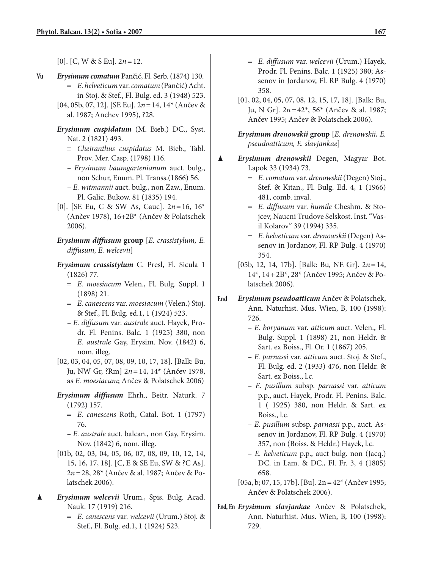[0]. [C, W & S Eu]. 2*n* = 12.

- **Vu** *Erysimum comatum* Pančić, Fl. Serb. (1874) 130. = *E. helveticum* var. *comatum* (Pančić) Acht. in Stoj. & Stef., Fl. Bulg. ed. 3 (1948) 523.
	- [04, 05b, 07, 12]. [SE Eu]. 2*n* = 14, 14\* (Ančev & al. 1987; Anchev 1995), ?28.
	- *Erysimum cuspidatum* (M. Bieb.) DC., Syst. Nat. 2 (1821) 493.
		- ≡ *Cheiranthus cuspidatus* M. Bieb., Tabl. Prov. Mer. Casp. (1798) 116.
		- *Erysimum baumgartenianum* auct. bulg., non Schur, Enum. Pl. Transs.(1866) 56.
		- *E. witmannii* auct. bulg., non Zaw., Enum. Pl. Galic. Bukow. 81 (1835) 194.
	- [0]. [SE Eu, C & SW As, Cauc]. 2*n* = 16, 16\* (Ančev 1978), 16+2B\* (Ančev & Polatschek 2006).
	- *Erysimum diffusum* **group** [*E. crassistylum, E. diffusum, E. welcevii*]
	- *Erysimum crassistylum* C. Presl, Fl. Sicula 1 (1826) 77.
		- = *E. moesiacum* Velen., Fl. Bulg. Suppl. 1 (1898) 21.
		- = *E. canescens* var. *moesiacum* (Velen.) Stoj. & Stef., Fl. Bulg. ed.1, 1 (1924) 523.
		- *E. diffusum* var. *australe* auct. Hayek, Prodr. Fl. Penins. Balc. 1 (1925) 380, non *E. australe* Gay, Erysim. Nov. (1842) 6, nom. illeg.
	- [02, 03, 04, 05, 07, 08, 09, 10, 17, 18]. [Balk: Bu, Ju, NW Gr, ?Rm] 2*n* = 14, 14\* (Ančev 1978, as *E. moesiacum*; Ančev & Polatschek 2006)
	- *Erysimum diffusum* Ehrh., Beitr. Naturk. 7 (1792) 157.
		- = *E. canescens* Roth, Catal. Bot. 1 (1797) 76.
		- *E. australe* auct. balcan., non Gay, Erysim. Nov. (1842) 6, nom. illeg.
	- [01b, 02, 03, 04, 05, 06, 07, 08, 09, 10, 12, 14, 15, 16, 17, 18]. [C, E & SE Eu, SW & ?C As]. 2*n* = 28, 28\* (Ančev & al. 1987; Ančev & Polatschek 2006).
- ▲ *Erysimum welcevii* Urum., Spis. Bulg. Acad. Nauk. 17 (1919) 216.
	- = *E. canescens* var. *welcevii* (Urum.) Stoj. & Stef., Fl. Bulg. ed.1, 1 (1924) 523.
- = *E. diffusum* var. *welcevii* (Urum.) Hayek, Prodr. Fl. Penins. Balc. 1 (1925) 380; Assenov in Jordanov, Fl. RP Bulg. 4 (1970) 358.
- [01, 02, 04, 05, 07, 08, 12, 15, 17, 18]. [Balk: Bu, Ju, N Gr]. 2*n* = 42\*, 56\* (Ančev & al. 1987; Ančev 1995; Ančev & Polatschek 2006).

*Erysimum drenowskii* **group** [*E. drenowskii, E. pseudoatticum, E. slavjankae*]

- ▲ *Erysimum drenowskii* Degen, Magyar Bot. Lapok 33 (1934) 73.
	- = *E. comatum* var. *drenowskii* (Degen) Stoj., Stef. & Kitan., Fl. Bulg. Ed. 4, 1 (1966) 481, comb. inval.
	- = *E. diffusum* var. *humile* Cheshm. & Stojcev, Naucni Trudove Selskost. Inst. "Vasil Kolarov" 39 (1994) 335.
	- = *E. helveticum* var. *drenowskii* (Degen) Assenov in Jordanov, Fl. RP Bulg. 4 (1970) 354.
	- [05b, 12, 14, 17b]. [Balk: Bu, NE Gr]. 2*n* = 14, 14\*, 14 + 2B\*, 28\* (Ančev 1995; Ančev & Polatschek 2006).
- **End** *Erysimum pseudoatticum* Ančev & Polatschek, Ann. Naturhist. Mus. Wien, B, 100 (1998): 726.
	- *E. boryanum* var. *atticum* auct. Velen., Fl. Bulg. Suppl. 1 (1898) 21, non Heldr. & Sart. ex Boiss., Fl. Or. 1 (1867) 205.
	- *E. parnassi* var. *atticum* auct. Stoj. & Stef., Fl. Bulg. ed. 2 (1933) 476, non Heldr. & Sart. ex Boiss., l.c.
	- *E. pusillum* subsp. *parnassi* var. *atticum* p.p., auct. Hayek, Prodr. Fl. Penins. Balc. 1 ( 1925) 380, non Heldr. & Sart. ex Boiss., l.c.
	- *E. pusillum* subsp. *parnassi* p.p., auct. Assenov in Jordanov, Fl. RP Bulg. 4 (1970) 357, non (Boiss. & Heldr.) Hayek, l.c.
	- *E. helveticum* p.p., auct bulg. non (Jacq.) DC. in Lam. & DC., Fl. Fr. 3, 4 (1805) 658.
	- [05a, b; 07, 15, 17b]. [Bu]. 2n = 42\* (Ančev 1995; Ančev & Polatschek 2006).
- **End, En** *Erysimum slavjankae* Ančev & Polatschek, Ann. Naturhist. Mus. Wien, B, 100 (1998): 729.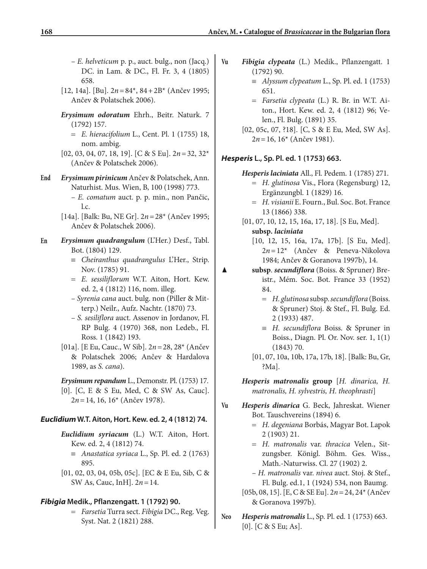- *E. helveticum* p. p., auct. bulg., non (Jacq.) DC. in Lam. & DC., Fl. Fr. 3, 4 (1805) 658.
- [12, 14a]. [Bu]. 2*n* = 84\*, 84 + 2B\* (Ančev 1995; Ančev & Polatschek 2006).
- *Erysimum odoratum* Ehrh., Beitr. Naturk. 7 (1792) 157.
	- = *E. hieracifolium* L., Cent. Pl. 1 (1755) 18, nom. ambig.
- [02, 03, 04, 07, 18, 19]. [C & S Eu]. 2*n* = 32, 32\* (Ančev & Polatschek 2006).
- **End** *Erysimum pirinicum* Ančev & Polatschek, Ann. Naturhist. Mus. Wien, B, 100 (1998) 773.
	- *E. comatum* auct. p. p. min., non Pančic, l.c.
	- [14a]. [Balk: Bu, NE Gr]. 2*n* = 28\* (Ančev 1995; Ančev & Polatschek 2006).
- **En** *Erysimum quadrangulum* (L'Her.) Desf., Tabl. Bot. (1804) 129.
	- ≡ *Cheiranthus quadrangulus* L'Her., Strip. Nov. (1785) 91.
	- = *E. sessiliflorum* W.T. Aiton, Hort. Kew. ed. 2, 4 (1812) 116, nom. illeg.
	- *Syrenia cana* auct. bulg. non (Piller & Mitterp.) Neilr., Aufz. Nachtr. (1870) 73.
	- *S. sesiliflora* auct. Assenov in Jordanov, Fl. RP Bulg. 4 (1970) 368, non Ledeb., Fl. Ross. 1 (1842) 193.
	- [01a]. [E Eu, Cauc., W Sib]. 2*n* = 28, 28\* (Ančev & Polatschek 2006; Ančev & Hardalova 1989, as *S. cana*).

### *Erysimum repandum* L., Demonstr. Pl. (1753) 17.

[0]. [C, E & S Eu, Med, C & SW As, Cauc]. 2*n* = 14, 16, 16\* (Ančev 1978).

### *Euclidium* **W.T. Aiton, Hort. Kew. ed. 2, 4 (1812) 74.**

- *Euclidium syriacum* (L.) W.T. Aiton, Hort. Kew. ed. 2, 4 (1812) 74.
	- ≡ *Anastatica syriaca* L., Sp. Pl. ed. 2 (1763) 895.
- [01, 02, 03, 04, 05b, 05c]. [EC & E Eu, Sib, C & SW As, Cauc, InH]. 2*n* = 14.

### *Fibigia* **Medik., Pflanzengatt. 1 (1792) 90.**

= *Farsetia* Turra sect. *Fibigia* DC., Reg. Veg. Syst. Nat. 2 (1821) 288.

- **Vu** *Fibigia clypeata* (L.) Medik., Pflanzengatt. 1 (1792) 90.
	- ≡ *Alyssum clypeatum* L., Sp. Pl. ed. 1 (1753) 651.
	- = *Farsetia clypeata* (L.) R. Br. in W.T. Aiton., Hort. Kew. ed. 2, 4 (1812) 96; Velen., Fl. Bulg. (1891) 35.
	- [02, 05c, 07, ?18]. [C, S & E Eu, Med, SW As]. 2*n* = 16, 16\* (Ančev 1981).

### *Hesperis* **L., Sp. Pl. ed. 1 (1753) 663.**

*Hesperis laciniata* All., Fl. Pedem. 1 (1785) 271.

- = *H. glutinosa* Vis., Flora (Regensburg) 12, Ergänzungbl. 1 (1829) 16.
- = *H. visianii* E. Fourn., Bul. Soc. Bot. France 13 (1866) 338.
- [01, 07, 10, 12, 15, 16a, 17, 18]. [S Eu, Med]. **subsp.** *laciniata*
	- [10, 12, 15, 16a, 17a, 17b]. [S Eu, Med]. 2*n* = 12\* (Ančev & Peneva-Nikolova 1984; Ančev & Goranova 1997b), 14.
- ▲ **subsp**. *secundiflora* (Boiss. & Spruner) Breistr., Mém. Soc. Bot. France 33 (1952) 84.
	- = *H. glutinosa* subsp. *secundiflora* (Boiss. & Spruner) Stoj. & Stef., Fl. Bulg. Ed. 2 (1933) 487.
	- ≡ *H. secundiflora* Boiss. & Spruner in Boiss., Diagn. Pl. Or. Nov. ser. 1, 1(1) (1843) 70.
	- [01, 07, 10a, 10b, 17a, 17b, 18]. [Balk: Bu, Gr, ?Ma].
	- *Hesperis matronalis* **group** [*H. dinarica, H. matronalis, H. sylvestris, H. theophrasti*]
- **Vu** *Hesperis dinarica* G. Beck, Jahreskat. Wiener Bot. Tauschvereins (1894) 6.
	- = *H. degeniana* Borbás, Magyar Bot. Lapok 2 (1903) 21.
	- = *H. matronalis* var. *thracica* Velen., Sitzungsber. Königl. Böhm. Ges. Wiss., Math.-Naturwiss. Cl. 27 (1902) 2.

– *H. matronalis* var. *nivea* auct. Stoj. & Stef., Fl. Bulg. ed.1, 1 (1924) 534, non Baumg.

- [05b, 08, 15]. [E, C & SE Eu]. 2*n* = 24, 24\* (Ančev & Goranova 1997b).
- **Neo** *Hesperis matronalis* L., Sp. Pl. ed. 1 (1753) 663. [0]. [C & S Eu; As].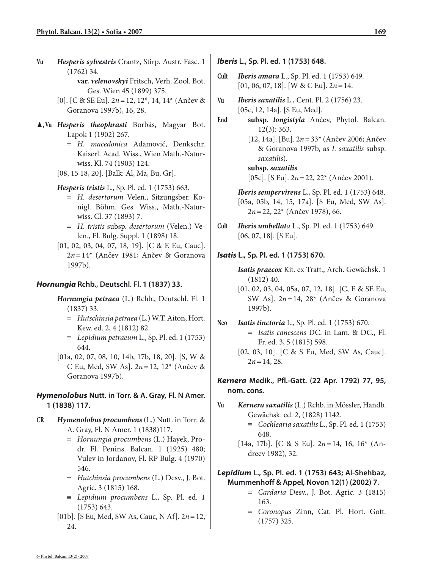- **Vu** *Hesperis sylvestris* Crantz, Stirp. Austr. Fasc. 1 (1762) 34.
	- **var.** *velenovskyi* Fritsch, Verh. Zool. Bot. Ges. Wien 45 (1899) 375.
	- [0]. [C & SE Eu]. 2*n* = 12, 12\*, 14, 14\* (Ančev & Goranova 1997b), 16, 28.
- ▲**, Vu** *Hesperis theophrasti* Borbás, Magyar Bot. Lapok 1 (1902) 267.
	- = *H. macedonica* Adamović, Denkschr. Kaiserl. Acad. Wiss., Wien Math.-Naturwiss. Kl. 74 (1903) 124.
	- [08, 15 18, 20]. [Balk: Al, Ma, Bu, Gr].
	- *Hesperis tristis* L., Sp. Pl. ed. 1 (1753) 663.
		- = *H. desertorum* Velen., Sitzungsber. Konigl. Böhm. Ges. Wiss., Math.-Naturwiss. Cl. 37 (1893) 7.
		- = *H. tristis* subsp. *desertorum* (Velen.) Velen., Fl. Bulg. Suppl. 1 (1898) 18.
	- [01, 02, 03, 04, 07, 18, 19]. [C & E Eu, Cauc]. 2*n* = 14\* (Ančev 1981; Ančev & Goranova 1997b).

### *Hornungia* **Rchb., Deutschl. Fl. 1 (1837) 33.**

- *Hornungia petraea* (L.) Rchb., Deutschl. Fl. 1 (1837) 33.
	- = *Hutschinsia petraea* (L.) W.T. Aiton, Hort. Kew. ed. 2, 4 (1812) 82.
	- ≡ *Lepidium petraeum* L., Sp. Pl. ed. 1 (1753) 644.
- [01a, 02, 07, 08, 10, 14b, 17b, 18, 20]. [S, W & C Eu, Med, SW As]. 2*n* = 12, 12\* (Ančev & Goranova 1997b).

## *Hymenolobus* **Nutt. in Torr. & A. Gray, Fl. N Amer. 1 (1838) 117.**

- **CR** *Hymenolobus procumbens* (L.) Nutt. in Torr. & A. Gray, Fl. N Amer. 1 (1838)117.
	- = *Hornungia procumbens* (L.) Hayek, Prodr. Fl. Penins. Balcan. 1 (1925) 480; Vulev in Jordanov, Fl. RP Bulg. 4 (1970) 546.
	- = *Hutchinsia procumbens* (L.) Desv., J. Bot. Agric. 3 (1815) 168.
	- ≡ *Lepidium procumbens* L., Sp. Pl. ed. 1 (1753) 643.
	- [01b]. [S Eu, Med, SW As, Cauc, N Af]. 2*n* = 12, 24.
- *Iberis* **L., Sp. Pl. ed. 1 (1753) 648.**
- **Cult** *Iberis amara* L., Sp. Pl. ed. 1 (1753) 649. [01, 06, 07, 18]. [W & C Eu]. 2*n* = 14.
- **Vu** *Iberis saxatilis* L., Cent. Pl. 2 (1756) 23. [05c, 12, 14a]. [S Eu, Med].
- **End subsp.** *longistyla* Ančev, Phytol. Balcan. 12(3): 363.
	- [12, 14a]. [Bu]. 2*n* = 33\* (Ančev 2006; Ančev & Goranova 1997b, as *I. saxatilis* subsp. *saxatilis*).

### **subsp.** *saxatilis*

[05c]. [S Eu]. 2*n* = 22, 22\* (Ančev 2001).

*Iberis sempervirens* L., Sp. Pl. ed. 1 (1753) 648. [05a, 05b, 14, 15, 17a]. [S Eu, Med, SW As]. 2*n* = 22, 22\* (Ančev 1978), 66.

**Cult** *Iberis umbellata* L., Sp. Pl. ed. 1 (1753) 649. [06, 07, 18]. [S Eu].

### *Isatis* **L., Sp. Pl. ed. 1 (1753) 670.**

- *Isatis praecox* Kit. ex Tratt., Arch. Gewächsk. 1 (1812) 40.
- [01, 02, 03, 04, 05a, 07, 12, 18]. [C, E & SE Eu, SW As]. 2*n* = 14, 28\* (Ančev & Goranova 1997b).
- **Neo** *Isatis tinctoria* L., Sp. Pl. ed. 1 (1753) 670. = *Isatis canescens* DC. in Lam. & DC., Fl. Fr. ed. 3, 5 (1815) 598.
	- [02, 03, 10]. [C & S Eu, Med, SW As, Cauc].  $2n = 14, 28.$

*Kernera* **Medik., Pfl.-Gatt. (22 Apr. 1792) 77, 95, nom. cons.**

- **Vu** *Kernera saxatilis* (L.) Rchb. in Mössler, Handb. Gewächsk. ed. 2, (1828) 1142.
	- ≡ *Cochlearia saxatilis* L., Sp. Pl. ed. 1 (1753) 648.
	- [14a, 17b]. [C & S Eu]. 2*n* = 14, 16, 16\* (Andreev 1982), 32.

### *Lepidium* **L., Sp. Pl. ed. 1 (1753) 643; Al-Shehbaz, Mummenhoff & Appel, Novon 12(1) (2002) 7.**

- = *Cardaria* Desv., J. Bot. Agric. 3 (1815) 163.
- = *Coronopus* Zinn, Cat. Pl. Hort. Gott. (1757) 325.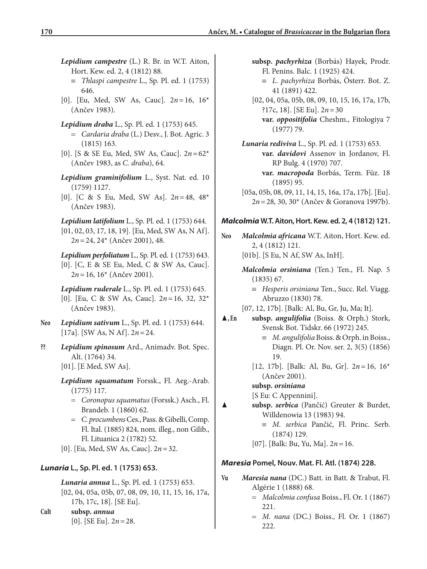- *Lepidium campestre* (L.) R. Br. in W.T. Aiton, Hort. Kew. ed. 2, 4 (1812) 88.
	- ≡ *Thlaspi campestre* L., Sp. Pl. ed. 1 (1753) 646.
- [0]. [Eu, Med, SW As, Cauc]. 2*n* = 16, 16\* (Ančev 1983).
- *Lepidium draba* L., Sp. Pl. ed. 1 (1753) 645.
	- = *Cardaria draba* (L.) Desv., J. Bot. Agric. 3 (1815) 163.
- [0]. [S & SE Eu, Med, SW As, Cauc]. 2*n* = 62\* (Ančev 1983, as *C. draba*), 64.
- *Lepidium graminifolium* L., Syst. Nat. ed. 10 (1759) 1127.
- [0]. [C & S Eu, Med, SW As]. 2*n* = 48, 48\* (Ančev 1983).

*Lepidium latifolium* L., Sp. Pl. ed. 1 (1753) 644. [01, 02, 03, 17, 18, 19]. [Eu, Med, SW As, N Af]. 2*n* = 24, 24\* (Ančev 2001), 48.

*Lepidium perfoliatum* L., Sp. Pl. ed. 1 (1753) 643. [0]. [C, E & SE Eu, Med, C & SW As, Cauc]. 2*n* = 16, 16\* (Ančev 2001).

*Lepidium ruderale* L., Sp. Pl. ed. 1 (1753) 645. [0]. [Eu, C & SW As, Cauc]. 2*n* = 16, 32, 32\* (Ančev 1983).

- **Neo** *Lepidium sativum* L., Sp. Pl. ed. 1 (1753) 644. [17a]. [SW As, N Af]. 2*n* = 24.
- **??** *Lepidium spinosum* Ard., Animadv. Bot. Spec. Alt. (1764) 34. [01]. [E Med, SW As].
	- *Lepidium squamatum* Forssk., Fl. Aeg.-Arab. (1775) 117.
		- = *Coronopus squamatus* (Forssk.) Asch., Fl. Brandeb. 1 (1860) 62.
		- = *C. procumbens* Ces., Pass. & Gibelli, Comp. Fl. Ital. (1885) 824, nom. illeg., non Gilib., Fl. Lituanica 2 (1782) 52.
	- [0]. [Eu, Med, SW As, Cauc]. 2*n* = 32.

## *Lunaria* **L., Sp. Pl. ed. 1 (1753) 653.**

*Lunaria annua* L., Sp. Pl. ed. 1 (1753) 653. [02, 04, 05a, 05b, 07, 08, 09, 10, 11, 15, 16, 17a, 17b, 17c, 18]. [SE Eu].

**Cult subsp.** *annua* [0]. [SE Eu]. 2*n* = 28. **subsp.** *pachyrhiza* (Borbás) Hayek, Prodr. Fl. Penins. Balc. 1 (1925) 424.

- ≡ *L. pachyrhiza* Borbás, Österr. Bot. Z. 41 (1891) 422.
- [02, 04, 05a, 05b, 08, 09, 10, 15, 16, 17a, 17b, ?17c, 18]. [SE Eu]. 2*n* = 30

**var.** *oppositifolia* Cheshm., Fitologiya 7 (1977) 79.

*Lunaria rediviva* L., Sp. Pl. ed. 1 (1753) 653. **var.** *davidovi* Assenov in Jordanov, Fl. RP Bulg. 4 (1970) 707.

**var.** *macropoda* Borbás, Term. Füz. 18 (1895) 95.

[05a, 05b, 08, 09, 11, 14, 15, 16a, 17a, 17b]. [Eu]. 2*n* = 28, 30, 30\* (Ančev & Goranova 1997b).

## *Malcolmia* **W.T. Aiton, Hort. Kew. ed. 2, 4 (1812) 121.**

- **Neo** *Malcolmia africana* W.T. Aiton, Hort. Kew. ed. 2, 4 (1812) 121.
	- [01b]. [S Eu, N Af, SW As, InH].
	- *Malcolmia orsiniana* (Ten.) Ten., Fl. Nap. 5 (1835) 67.
		- ≡ *Hesperis orsiniana* Ten., Succ. Rel. Viagg. Abruzzo (1830) 78.
	- [07, 12, 17b]. [Balk: Al, Bu, Gr, Ju, Ma; It].
- ▲**, En subsp.** *angulifolia* (Boiss. & Orph.) Stork, Svensk Bot. Tidskr. 66 (1972) 245.
	- ≡ *M. angulifolia* Boiss. & Orph. in Boiss., Diagn. Pl. Or. Nov. ser. 2, 3(5) (1856) 19.
	- [12, 17b]. [Balk: Al, Bu, Gr]. 2*n* = 16, 16\* (Ančev 2001).

### **subsp.** *orsiniana*

[S Eu: C Appennini].

- ▲ **subsp.** *serbica* (Pančić) Greuter & Burdet, Willdenowia 13 (1983) 94.
	- ≡ *M. serbica* Pančić, Fl. Princ. Serb. (1874) 129.
	- [07]. [Balk: Bu, Yu, Ma]. 2*n* = 16.

## *Maresia* **Pomel, Nouv. Mat. Fl. Atl. (1874) 228.**

- **Vu** *Maresia nana* (DC.) Batt. in Batt. & Trabut, Fl. Algérie 1 (1888) 68.
	- = *Malcolmia confusa* Boiss., Fl. Or. 1 (1867) 221.
	- = *M. nana* (DC.) Boiss., Fl. Or. 1 (1867) 222.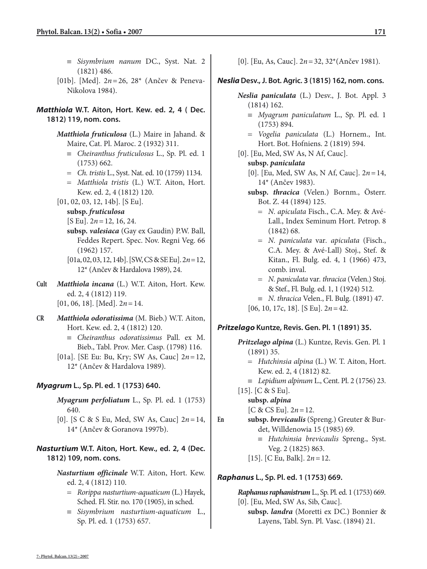- ≡ *Sisymbrium nanum* DC., Syst. Nat. 2 (1821) 486.
- [01b]. [Med]. 2*n* = 26, 28\* (Ančev & Peneva-Nikolova 1984).

*Matthiola* **W.T. Aiton, Hort. Kew. ed. 2, 4 ( Dec. 1812) 119, nom. cons.**

> *Matthiola fruticulosa* (L.) Maire in Jahand. & Maire, Cat. Pl. Maroc. 2 (1932) 311.

- ≡ *Cheiranthus fruticulosus* L., Sp. Pl. ed. 1 (1753) 662.
- = *Ch. tristis* L., Syst. Nat. ed. 10 (1759) 1134.
- = *Matthiola tristis* (L.) W.T. Aiton, Hort. Kew. ed. 2, 4 (1812) 120.
- [01, 02, 03, 12, 14b]. [S Eu].

**subsp.** *fruticulosa*

- [S Eu]. 2*n* = 12, 16, 24.
- **subsp.** *valesiaca* (Gay ex Gaudin) P.W. Ball, Feddes Repert. Spec. Nov. Regni Veg. 66 (1962) 157.
- [01a, 02, 03, 12, 14b]. [SW, CS & SE Eu]. 2*n* = 12, 12\* (Ančev & Hardalova 1989), 24.
- **Cult** *Matthiola incana* (L.) W.T. Aiton, Hort. Kew. ed. 2, 4 (1812) 119. [01, 06, 18]. [Med]. 2*n* = 14.
- **CR** *Matthiola odoratissima* (M. Bieb.) W.T. Aiton, Hort. Kew. ed. 2, 4 (1812) 120.
	- ≡ *Cheiranthus odoratissimus* Pall. ex M. Bieb., Tabl. Prov. Mer. Casp. (1798) 116.
	- [01a]. [SE Eu: Bu, Kry; SW As, Cauc] 2*n* = 12, 12\* (Ančev & Hardalova 1989).

## *Myagrum* **L., Sp. Pl. ed. 1 (1753) 640.**

- *Myagrum perfoliatum* L., Sp. Pl. ed. 1 (1753) 640.
- [0]. [S C & S Eu, Med, SW As, Cauc] 2*n* = 14, 14\* (Ančev & Goranova 1997b).

*Nasturtium* **W.T. Aiton, Hort. Kew., ed. 2, 4 (Dec. 1812) 109, nom. cons.**

> *Nasturtium officinale* W.T. Aiton, Hort. Kew. ed. 2, 4 (1812) 110.

- = *Rorippa nasturtium-aquaticum* (L.) Hayek, Sched. Fl. Stir. no. 170 (1905), in sched.
- ≡ *Sisymbrium nasturtium-aquaticum* L., Sp. Pl. ed. 1 (1753) 657.

[0]. [Eu, As, Cauc]. 2*n* = 32, 32\*(Ančev 1981).

## *Neslia***Desv., J. Bot. Agric. 3 (1815) 162, nom. cons.**

- *Neslia paniculata* (L.) Desv., J. Bot. Appl. 3 (1814) 162.
	- ≡ *Myagrum paniculatum* L., Sp. Pl. ed. 1 (1753) 894.
	- = *Vogelia paniculata* (L.) Hornem., Int. Hort. Bot. Hofniens. 2 (1819) 594.
- [0]. [Eu, Med, SW As, N Af, Cauc].

## **subsp.** *paniculata*

- [0]. [Eu, Med, SW As, N Af, Cauc]. 2*n* = 14, 14\* (Ančev 1983).
- **subsp.** *thracica* (Velen.) Bornm., Österr. Bot. Z. 44 (1894) 125.
	- = *N. apiculata* Fisch., C.A. Mey. & Avé-Lall., Index Seminum Hort. Petrop. 8 (1842) 68.
	- = *N. paniculata* var*. apiculata* (Fisch., C.A. Mey. & Avé-Lall) Stoj., Stef. & Kitan., Fl. Bulg. ed. 4, 1 (1966) 473, comb. inval.
	- = *N. paniculata* var*. thracica* (Velen.) Stoj. & Stef., Fl. Bulg. ed. 1, 1 (1924) 512.
	- ≡ *N. thracica* Velen., Fl. Bulg. (1891) 47.

[06, 10, 17c, 18]. [S Eu]. 2*n* = 42.

## *Pritzelago* **Kuntze, Revis. Gen. Pl. 1 (1891) 35.**

- *Pritzelago alpina* (L.) Kuntze, Revis. Gen. Pl. 1 (1891) 35.
	- = *Hutchinsia alpina* (L.) W. T. Aiton, Hort. Kew. ed. 2, 4 (1812) 82.
	- ≡ *Lepidium alpinum* L., Cent. Pl. 2 (1756) 23.

[15]. [C & S Eu].

**subsp.** *alpina*

 $[C & CS \, Eu]$ .  $2n = 12$ .

**En subsp.** *brevicaulis* (Spreng.) Greuter & Burdet, Willdenowia 15 (1985) 69.

- ≡ *Hutchinsia brevicaulis* Spreng., Syst. Veg. 2 (1825) 863.
- [15]. [C Eu, Balk]. 2*n* = 12.

## *Raphanus* **L., Sp. Pl. ed. 1 (1753) 669.**

*Raphanus raphanistrum* L., Sp. Pl. ed. 1 (1753) 669. [0]. [Eu, Med, SW As, Sib, Cauc]. **subsp.** *landra* (Moretti ex DC.) Bonnier & Layens, Tabl. Syn. Pl. Vasc. (1894) 21.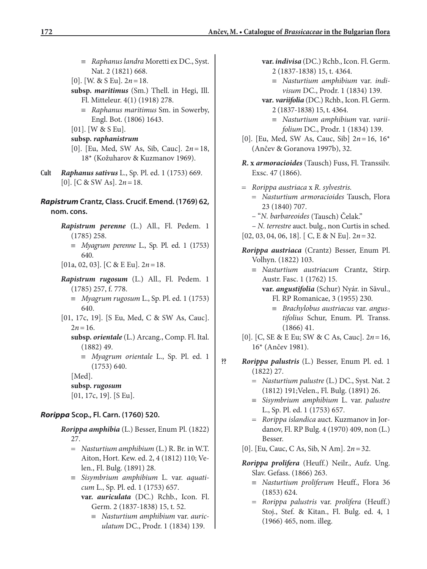- ≡ *Raphanus landra* Moretti ex DC., Syst. Nat. 2 (1821) 668.
- [0]. [W. & S Eu]. 2*n* = 18.
- **subsp.** *maritimus* (Sm.) Thell. in Hegi, Ill. Fl. Mitteleur. 4(1) (1918) 278.
	- ≡ *Raphanus maritimus* Sm. in Sowerby, Engl. Bot. (1806) 1643.
- [01]. [W & S Eu].
- **subsp.** *raphanistrum*
- [0]. [Eu, Med, SW As, Sib, Cauc]. 2*n* = 18, 18\* (Kožuharov & Kuzmanov 1969).
- **Cult** *Raphanus sativus* L., Sp. Pl. ed. 1 (1753) 669. [0]. [C & SW As]. 2*n* = 18.

## *Rapistrum* **Crantz, Class. Crucif. Emend. (1769) 62, nom. cons.**

- *Rapistrum perenne* (L.) All., Fl. Pedem. 1 (1785) 258.
	- ≡ *Myagrum perenne* L., Sp. Pl. ed. 1 (1753) 640.
- [01a, 02, 03]. [C & E Eu]. 2*n* = 18.
- *Rapistrum rugosum* (L.) All., Fl. Pedem. 1 (1785) 257, f. 778.
	- ≡ *Myagrum rugosum* L., Sp. Pl. ed. 1 (1753) 640.
- [01, 17c, 19]. [S Eu, Med, C & SW As, Cauc].  $2n = 16$ .
	- **subsp.** *orientale* (L.) Arcang., Comp. Fl. Ital. (1882) 49.
		- ≡ *Myagrum orientale* L., Sp. Pl. ed. 1 (1753) 640.

[Med].

### **subsp.** *rugosum*

[01, 17c, 19]. [S Eu].

## *Rorippa* **Scop., Fl. Carn. (1760) 520.**

- *Rorippa amphibia* (L.) Besser, Enum Pl. (1822) 27.
	- = *Nasturtium amphibium* (L.) R. Br. in W.T. Aiton, Hort. Kew. ed. 2, 4 (1812) 110; Velen., Fl. Bulg. (1891) 28.
	- ≡ *Sisymbrium amphibium* L. var. *aquaticum* L., Sp. Pl. ed. 1 (1753) 657.

**var.** *auriculata* (DC.) Rchb., Icon. Fl. Germ. 2 (1837-1838) 15, t. 52.

≡ *Nasturtium amphibium* var. *auriculatum* DC., Prodr. 1 (1834) 139.

- **var.** *indivisa* (DC.) Rchb., Icon. Fl. Germ. 2 (1837-1838) 15, t. 4364.
	- ≡ *Nasturtium amphibium* var. *indivisum* DC., Prodr. 1 (1834) 139.
- **var***. variifolia* (DC.) Rchb., Icon. Fl. Germ. 2 (1837-1838) 15, t. 4364.
	- ≡ *Nasturtium amphibium* var. *variifolium* DC., Prodr. 1 (1834) 139.
- [0]. [Eu, Med, SW As, Cauc, Sib] 2*n* = 16, 16\* (Ančev & Goranova 1997b), 32.
- *R***. x** *armoracioides* (Tausch) Fuss, Fl. Transsilv. Exsc. 47 (1866).
- = *Rorippa austriaca* x *R. sylvestris.* = *Nasturtium armoracioides* Tausch, Flora 23 (1840) 707.
	- "*N. barbareoides* (Tausch) Čelak."
- *N. terrestre* auct. bulg., non Curtis in sched. [02, 03, 04, 06, 18]. [ C, E & N Eu]. 2*n* = 32.
- *Rorippa austriaca* (Crantz) Besser, Enum Pl. Volhyn. (1822) 103.
	- ≡ *Nasturtium austriacum* Crantz, Stirp. Austr. Fasc. 1 (1762) 15.

**var.** *angustifolia* (Schur) Nyár. in Săvul., Fl. RP Romanicae, 3 (1955) 230.

- ≡ *Brachylobus austriacus* var. *angustifolius* Schur, Enum. Pl. Transs. (1866) 41.
- [0]. [C, SE & E Eu; SW & C As, Cauc]. 2*n* = 16, 16\* (Ančev 1981).
- **??** *Rorippa palustris* (L.) Besser, Enum Pl. ed. 1 (1822) 27.
	- = *Nasturtium palustre* (L.) DC., Syst. Nat. 2 (1812) 191;Velen., Fl. Bulg. (1891) 26.
	- ≡ *Sisymbrium amphibium* L. var. *palustre* L., Sp. Pl. ed. 1 (1753) 657.
	- = *Rorippa islandica* auct. Kuzmanov in Jordanov, Fl. RP Bulg. 4 (1970) 409, non (L.) Besser.
	- [0]. [Eu, Cauc, C As, Sib, N Am]. 2*n* = 32.
	- *Rorippa prolifera* (Heuff.) Neilr., Aufz. Ung. Slav. Gefass. (1866) 263.
		- ≡ *Nasturtium proliferum* Heuff., Flora 36 (1853) 624.
		- = *Rorippa palustris* var. *prolifera* (Heuff.) Stoj., Stef. & Kitan., Fl. Bulg. ed. 4, 1 (1966) 465, nom. illeg.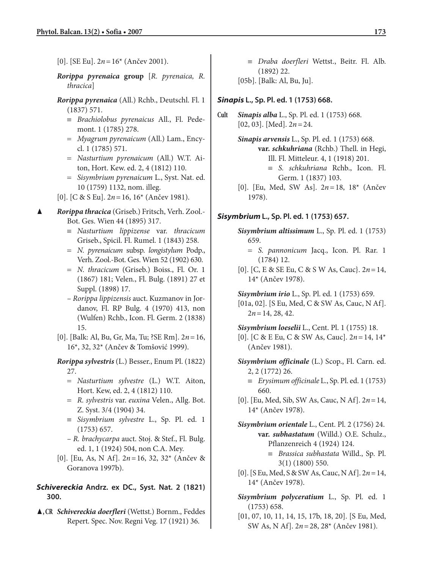- [0]. [SE Eu]. 2*n* = 16\* (Ančev 2001).
- *Rorippa pyrenaica* **group** [*R. pyrenaica, R. thracica*]
- *Rorippa pyrenaica* (All.) Rchb., Deutschl. Fl. 1 (1837) 571.
	- ≡ *Brachiolobus pyrenaicus* All., Fl. Pedemont. 1 (1785) 278.
	- = *Myagrum pyrenaicum* (All.) Lam., Encycl. 1 (1785) 571.
	- = *Nasturtium pyrenaicum* (All.) W.T. Aiton, Hort. Kew. ed. 2, 4 (1812) 110.
	- = *Sisymbrium pyrenaicum* L., Syst. Nat. ed. 10 (1759) 1132, nom. illeg.
- [0]. [C & S Eu]. 2*n* = 16, 16\* (Ančev 1981).
- ▲ *Rorippa thracica* (Griseb.) Fritsch, Verh. Zool.- Bot. Ges. Wien 44 (1895) 317.
	- ≡ *Nasturtium lippizense* var. *thracicum* Griseb., Spicil. Fl. Rumel. 1 (1843) 258.
	- = *N. pyrenaicum* subsp. *longistylum* Podp., Verh. Zool.-Bot. Ges. Wien 52 (1902) 630.
	- = *N. thracicum* (Griseb.) Boiss., Fl. Or. 1 (1867) 181; Velen., Fl. Bulg. (1891) 27 et Suppl. (1898) 17.
	- *Rorippa lippizensis* auct. Kuzmanov in Jordanov, Fl. RP Bulg. 4 (1970) 413, non (Wulfen) Rchb., Icon. Fl. Germ. 2 (1838) 15.
	- [0]. [Balk: Al, Bu, Gr, Ma, Tu; ?SE Rm]. 2*n* = 16, 16\*, 32, 32\* (Ančev & Tomšović 1999).

*Rorippa sylvestris* (L.) Besser., Enum Pl. (1822) 27.

- = *Nasturtium sylvestre* (L.) W.T. Aiton, Hort. Kew, ed. 2, 4 (1812) 110.
- = *R. sylvestris* var. *euxina* Velen., Allg. Bot. Z. Syst. 3/4 (1904) 34.
- ≡ *Sisymbrium sylvestre* L., Sp. Pl. ed. 1 (1753) 657.
- *R. brachycarpa* auct. Stoj. & Stef., Fl. Bulg. ed. 1, 1 (1924) 504, non C.A. Mey.
- [0]. [Eu, As, N Af]. 2*n* = 16, 32, 32\* (Ančev & Goranova 1997b).

### *Schivereckia* **Andrz. ex DC., Syst. Nat. 2 (1821) 300.**

▲**, CR** *Schivereckia doerfleri* (Wettst.) Bornm., Feddes Repert. Spec. Nov. Regni Veg. 17 (1921) 36.

≡ *Draba doerfleri* Wettst., Beitr. Fl. Alb. (1892) 22.

[05b]. [Balk: Al, Bu, Ju].

### *Sinapis* **L., Sp. Pl. ed. 1 (1753) 668.**

**Cult** *Sinapis alba* L., Sp. Pl. ed. 1 (1753) 668. [02, 03]. [Med]. 2*n* = 24.

> *Sinapis arvensis* L., Sp. Pl. ed. 1 (1753) 668. **var.** *schkuhriana* (Rchb.) Thell. in Hegi, Ill. Fl. Mitteleur. 4, 1 (1918) 201.

- ≡ *S. schkuhriana* Rchb., Icon. Fl. Germ. 1 (1837) 103.
- [0]. [Eu, Med, SW As]. 2*n* = 18, 18\* (Ančev 1978).

### *Sisymbrium* **L., Sp. Pl. ed. 1 (1753) 657.**

*Sisymbrium altissimum* L., Sp. Pl. ed. 1 (1753) 659.

- = *S. pannonicum* Jacq., Icon. Pl. Rar. 1 (1784) 12.
- [0]. [C, E & SE Eu, C & S W As, Cauc}. 2*n* = 14, 14\* (Ančev 1978).

*Sisymbrium irio* L., Sp. Pl. ed. 1 (1753) 659.

[01a, 02]. [S Eu, Med, C & SW As, Cauc, N Af].  $2n = 14, 28, 42.$ 

*Sisymbrium loeselii* L., Cent. Pl. 1 (1755) 18.

- [0]. [C & E Eu, C & SW As, Cauc]. 2*n* = 14, 14\* (Ančev 1981).
- *Sisymbrium officinale* (L.) Scop., Fl. Carn. ed. 2, 2 (1772) 26.
	- ≡ *Erysimum officinale* L., Sp. Pl. ed. 1 (1753) 660.
- [0]. [Eu, Med, Sib, SW As, Cauc, N Af]. 2*n* = 14, 14\* (Ančev 1978).

*Sisymbrium orientale* L., Cent. Pl. 2 (1756) 24. **var.** *subhastatum* (Willd.) O.E. Schulz., Pflanzenreich 4 (1924) 124.

- ≡ *Brassica subhastata* Willd., Sp. Pl. 3(1) (1800) 550.
- [0]. [S Eu, Med, S & SW As, Cauc, N Af]. 2*n* = 14, 14\* (Ančev 1978).
- *Sisymbrium polyceratium* L., Sp. Pl. ed. 1 (1753) 658.
- [01, 07, 10, 11, 14, 15, 17b, 18, 20]. [S Eu, Med, SW As, N Af]. 2*n* = 28, 28\* (Ančev 1981).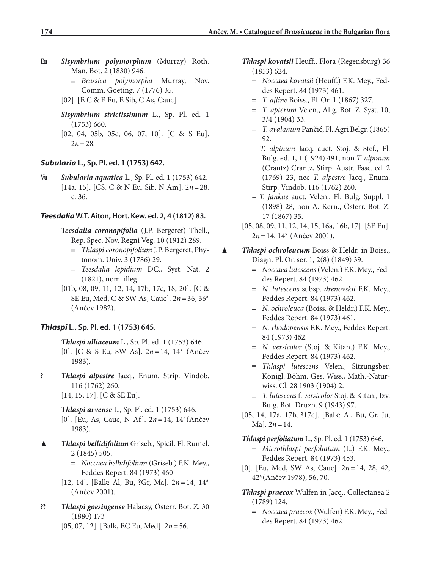- **En** *Sisymbrium polymorphum* (Murray) Roth, Man. Bot. 2 (1830) 946.
	- ≡ *Brassica polymorpha* Murray, Nov. Comm. Goeting. 7 (1776) 35.
	- [02]. [E C & E Eu, E Sib, C As, Cauc].

*Sisymbrium strictissimum* L., Sp. Pl. ed. 1 (1753) 660.

[02, 04, 05b, 05c, 06, 07, 10]. [C & S Eu].  $2n = 28$ .

### *Subularia* **L., Sp. Pl. ed. 1 (1753) 642.**

**Vu** *Subularia aquatica* L., Sp. Pl. ed. 1 (1753) 642. [14a, 15]. [CS, C & N Eu, Sib, N Am]. 2*n* = 28, c. 36.

#### *Teesdalia* **W.T. Aiton, Hort. Kew. ed. 2, 4 (1812) 83.**

- *Teesdalia coronopifolia* (J.P. Bergeret) Thell., Rep. Spec. Nov. Regni Veg. 10 (1912) 289.
	- ≡ *Thlaspi coronopifolium* J.P. Bergeret, Phytonom. Univ. 3 (1786) 29.
	- = *Teesdalia lepidium* DC., Syst. Nat. 2 (1821), nom. illeg.
- [01b, 08, 09, 11, 12, 14, 17b, 17c, 18, 20]. [C & SE Eu, Med, C & SW As, Cauc]. 2*n* = 36, 36\* (Ančev 1982).

### *Thlaspi* **L., Sp. Pl. ed. 1 (1753) 645.**

*Thlaspi alliaceum* L., Sp. Pl. ed. 1 (1753) 646. [0]. [C & S Eu, SW As]. 2*n* = 14, 14\* (Ančev 1983).

**?** *Thlaspi alpestre* Jacq., Enum. Strip. Vindob. 116 (1762) 260. [14, 15, 17]. [C & SE Eu].

### *Thlaspi arvense* L., Sp. Pl. ed. 1 (1753) 646. [0]. [Eu, As, Cauc, N Af]. 2*n* = 14, 14\*(Ančev 1983).

- ▲ *Thlaspi bellidifolium* Griseb., Spicil. Fl. Rumel. 2 (1845) 505.
	- = *Noccaea bellidifolium* (Griseb.) F.K. Mey., Feddes Repert. 84 (1973) 460
	- [12, 14]. [Balk: Al, Bu, ?Gr, Ma]. 2*n* = 14, 14\* (Ančev 2001).
- **??** *Thlaspi goesingense* Halácsy, Österr. Bot. Z. 30 (1880) 173
	- [05, 07, 12]. [Balk, EC Eu, Med]. 2*n* = 56.
- *Thlaspi kovatsii* Heuff., Flora (Regensburg) 36 (1853) 624.
	- = *Noccaea kovatsii* (Heuff.) F.K. Mey., Feddes Repert. 84 (1973) 461.
	- = *T. affine* Boiss., Fl. Or. 1 (1867) 327.
	- = *T. apterum* Velen., Allg. Bot. Z. Syst. 10, 3/4 (1904) 33.
	- = *T. avalanum* Pančić, Fl. Agri Belgr. (1865) 92.
	- *T. alpinum* Jacq. auct. Stoj. & Stef., Fl. Bulg. ed. 1, 1 (1924) 491, non *T. alpinum* (Crantz) Crantz, Stirp. Austr. Fasc. ed. 2 (1769) 23, nec *T. alpestre* Jacq., Enum. Stirp. Vindob. 116 (1762) 260.
	- *T. jankae* auct. Velen., Fl. Bulg. Suppl. 1 (1898) 28, non A. Kern., Österr. Bot. Z. 17 (1867) 35.
- [05, 08, 09, 11, 12, 14, 15, 16a, 16b, 17]. [SE Eu]. 2*n* = 14, 14\* (Ančev 2001).
- ▲ *Thlaspi ochroleucum* Boiss & Heldr. in Boiss., Diagn. Pl. Or. ser. 1, 2(8) (1849) 39.
	- = *Noccaea lutescens* (Velen.) F.K. Mey., Feddes Repert. 84 (1973) 462.
	- = *N. lutescens* subsp. *drenovskii* F.K. Mey., Feddes Repert. 84 (1973) 462.
	- = *N. ochroleuca* (Boiss. & Heldr.) F.K. Mey., Feddes Repert. 84 (1973) 461.
	- = *N. rhodopensis* F.K. Mey., Feddes Repert. 84 (1973) 462.
	- = *N. versicolor* (Stoj. & Kitan.) F.K. Mey., Feddes Repert. 84 (1973) 462.
	- ≡ *Thlaspi lutescens* Velen., Sitzungsber. Königl. Böhm. Ges. Wiss., Math.-Naturwiss. Cl. 28 1903 (1904) 2.
	- ≡ *T. lutescens* f. *versicolor* Stoj. & Kitan., Izv. Bulg. Bot. Druzh. 9 (1943) 97.
	- [05, 14, 17a, 17b, ?17c]. [Balk: Al, Bu, Gr, Ju,  $Ma$ ].  $2n = 14$ .

*Thlaspi perfoliatum* L., Sp. Pl. ed. 1 (1753) 646.

- = *Microthlaspi perfoliatum* (L.) F.K. Mey., Feddes Repert. 84 (1973) 453.
- [0]. [Eu, Med, SW As, Cauc]. 2*n* = 14, 28, 42, 42\*(Ančev 1978), 56, 70.
- *Thlaspi praecox* Wulfen in Jacq., Collectanea 2 (1789) 124.
	- = *Noccaea praecox* (Wulfen) F.K. Mey., Feddes Repert. 84 (1973) 462.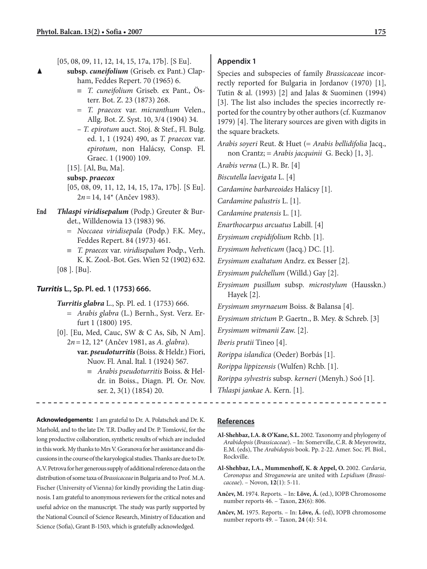| $[05, 08, 09, 11, 12, 14, 15, 17a, 17b]$ . [S Eu].<br>subsp. cuneifolium (Griseb. ex Pant.) Clap-<br>ham, Feddes Repert. 70 (1965) 6.<br>$\equiv$ T. cuneifolium Griseb. ex Pant., Ös-<br>terr. Bot. Z. 23 (1873) 268.<br>= T. praecox var. micranthum Velen.,<br>Allg. Bot. Z. Syst. 10, 3/4 (1904) 34.<br>- T. epirotum auct. Stoj. & Stef., Fl. Bulg.<br>ed. 1, 1 (1924) 490, as T. praecox var.<br>epirotum, non Halácsy, Consp. Fl.<br>Graec. 1 (1900) 109.<br>$[15]$ . [Al, Bu, Ma].<br>subsp. praecox<br>[05, 08, 09, 11, 12, 14, 15, 17a, 17b]. [S Eu]. | <b>Appendix 1</b><br>Species and subspecies of family Brassicaceae incor-<br>rectly reported for Bulgaria in Jordanov (1970) [1],<br>Tutin & al. (1993) [2] and Jalas & Suominen (1994)<br>[3]. The list also includes the species incorrectly re-<br>ported for the country by other authors (cf. Kuzmanov<br>1979) [4]. The literary sources are given with digits in<br>the square brackets.<br>Arabis soyeri Reut. & Huet (= Arabis bellidifolia Jacq.,<br>non Crantz; = Arabis jacquinii G. Beck) [1, 3].<br>Arabis verna (L.) R. Br. [4]<br>Biscutella laevigata L. [4]<br>Cardamine barbareoides Halácsy [1]. |
|-----------------------------------------------------------------------------------------------------------------------------------------------------------------------------------------------------------------------------------------------------------------------------------------------------------------------------------------------------------------------------------------------------------------------------------------------------------------------------------------------------------------------------------------------------------------|----------------------------------------------------------------------------------------------------------------------------------------------------------------------------------------------------------------------------------------------------------------------------------------------------------------------------------------------------------------------------------------------------------------------------------------------------------------------------------------------------------------------------------------------------------------------------------------------------------------------|
| $2n = 14$ , $14^*$ (Ančev 1983).<br>End<br>Thlaspi viridisepalum (Podp.) Greuter & Bur-<br>det., Willdenowia 13 (1983) 96.<br>= Noccaea viridisepala (Podp.) F.K. Mey.,<br>Feddes Repert. 84 (1973) 461.<br>$\equiv$ T. praecox var. viridisepalum Podp., Verh.<br>K. K. Zool.-Bot. Ges. Wien 52 (1902) 632.<br>$[08]$ . [Bu].                                                                                                                                                                                                                                  | Cardamine palustris L. [1].<br>Cardamine pratensis L. [1].<br>Enarthocarpus arcuatus Labill. [4]<br>Erysimum crepidifolium Rchb. [1].<br>Erysimum helveticum (Jacq.) DC. [1].<br>Erysimum exaltatum Andrz. ex Besser [2].<br>Erysimum pulchellum (Willd.) Gay [2].                                                                                                                                                                                                                                                                                                                                                   |
| Turritis L., Sp. Pl. ed. 1 (1753) 666.<br>Turritis glabra L., Sp. Pl. ed. 1 (1753) 666.<br>= Arabis glabra (L.) Bernh., Syst. Verz. Er-<br>furt 1 (1800) 195.<br>[0]. [Eu, Med, Cauc, SW & C As, Sib, N Am].<br>$2n = 12$ , $12^*$ (Ančev 1981, as A. glabra).<br>var. pseudoturritis (Boiss. & Heldr.) Fiori,<br>Nuov. Fl. Anal. Ital. 1 (1924) 567.<br>$\equiv$ Arabis pseudoturritis Boiss. & Hel-<br>dr. in Boiss., Diagn. Pl. Or. Nov.<br>ser. 2, 3(1) (1854) 20.                                                                                          | Erysimum pusillum subsp. microstylum (Hausskn.)<br>Hayek [2].<br>Erysimum smyrnaeum Boiss. & Balansa [4].<br>Erysimum strictum P. Gaertn., B. Mey. & Schreb. [3]<br>Erysimum witmanii Zaw. [2].<br>Iberis prutii Tineo [4].<br>Rorippa islandica (Oeder) Borbás [1].<br>Rorippa lippizensis (Wulfen) Rchb. [1].<br>Rorippa sylvestris subsp. kerneri (Menyh.) Soó [1].<br>Thlaspi jankae A. Kern. [1].                                                                                                                                                                                                               |

**Acknowledgements:** I am grateful to Dr. A. Polatschek and Dr. K. Marhold, and to the late Dr. T.R. Dudley and Dr. P. Tomšović, for the long productive collaboration, synthetic results of which are included in this work. My thanks to Mrs V. Goranova for her assistance and discussions in the course of the karyological studies. Thanks are due to Dr. A.V. Petrova for her generous supply of additional reference data on the distribution of some taxa of *Brassicaceae* in Bulgaria and to Prof. M.A. Fischer (University of Vienna) for kindly providing the Latin diagnosis. I am grateful to anonymous reviewers for the critical notes and useful advice on the manuscript. The study was partly supported by the National Council of Science Research, Ministry of Education and Science (Sofia), Grant B-1503, which is gratefully acknowledged.

### **References**

- **Al-Shehbaz, I.A. & O'Kane, S.L.** 2002. Taxonomy and phylogeny of *Arabidopsis* (*Brassicaceae*). – In: Somerville, C.R. & Meyerowitz, E.M. (eds), The *Arabidopsis* book. Pp. 2-22. Amer. Soc. Pl. Biol., Rockville.
- **Al-Shehbaz, I.A., Mummenhoff, K. & Appel, O.** 2002. *Cardaria*, *Coronopus* and *Stroganowia* are united with *Lepidium* (*Brassicaceae*). – Novon, **12**(1): 5-11.
- **Ančev, M.** 1974. Reports. In: **Löve, Á.** (ed.), IOPB Chromosome number reports 46. – Taxon, **23**(6): 806.
- **Ančev, M.** 1975. Reports. In: **Löve, Á.** (ed), IOPB chromosome number reports 49. – Taxon, **24** (4): 514.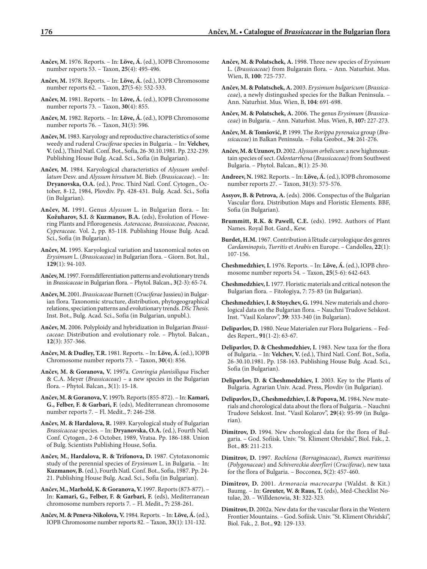- **Ančev, M.** 1976. Reports. In: **Löve, Á.** (ed.), IOPB Chromosome number reports 53. – Taxon, **25**(4): 495-496.
- **Ančev, M.** 1978. Reports. In: **Löve, Á.** (ed.), IOPB Chromosome number reports 62. – Taxon, **27**(5-6): 532-533.
- **Ančev, M.** 1981. Reports. In: **Löve, Á.** (ed.), IOPB Chromosome number reports 73. – Taxon, **30**(4): 855.
- **Ančev, M.** 1982. Reports. In: **Löve, Á.** (ed.), IOPB Chromosome number reports 76. – Taxon, **31**(3): 596.
- **Ančev, M.** 1983. Karyology and reproductive characteristics of some weedy and ruderal *Cruciferae* species in Bulgaria. – In: **Velchev, V.** (ed.), Third Natl. Conf. Bot., Sofia, 26-30.10.1981. Pp. 232-239. Publishing House Bulg. Acad. Sci., Sofia (in Bulgarian).
- **Ančev, M.** 1984. Karyological characteristics of *Alyssum umbellatum* Desv. and *Alyssum hirsutum* M. Bieb. (*Brassicaceae*). – In: **Dryanovska, O.A.** (ed.), Proc. Third Natl. Conf. Cytogen., October, 8-12, 1984, Plovdiv. Pp. 428-431. Bulg. Acad. Sci., Sofia (in Bulgarian).
- **Ančev, M.** 1991. Genus *Alyssum* L. in Bulgarian flora. In: **Kožuharov, S.I.** & **Kuzmanov, B.A.** (eds), Evolution of Flowering Plants and Fflorogenesis. *Asteraceae, Brassicaceae, Poaceae*, *Cyperaceae.* Vol. 2, pp. 85-118. Publishing House Bulg. Acad. Sci., Sofia (in Bulgarian).
- **Ančev, M.** 1995. Karyological variation and taxonomical notes on *Erysimum* L. (*Brassicaceae*) in Bulgarian flora. – Giorn. Bot. Ital., **129**(1): 94-103.
- **Ančev, M.** 1997.Formdifferentiation patterns and evolutionary trends in *Brassicaceae* in Bulgarian flora. – Phytol. Balcan., **3(**2-3): 65-74.
- **Ančev, M.** 2001. *Brassicaceae* Burnett (*Cruciferae* Jussieu) in Bulgarian flora. Taxonomic structure, distribution, phytogeographical relations, speciation patterns and evolutionary trends. *DSc Thesis*. Inst. Bot., Bulg. Acad. Sci., Sofia (in Bulgarian, unpubl.).
- **Ančev, M.** 2006. Polyploidy and hybridization in Bulgarian *Brassicaceae*: Distribution and evolutionary role. – Phytol. Balcan., **12**(3): 357-366.
- **Ančev, M. & Dudley, T.R.** 1981. Reports. In: **Löve, Á.** (ed.), IOPB Chromosome number reports 73. – Taxon, **30**(4): 856.
- **Ančev, M. & Goranova, V.** 1997a. *Conringia planisiliqua* Fischer & C.A. Meyer (*Brassicaceae*) – a new species in the Bulgarian flora. – Phytol. Balcan., **3**(1): 15-18.
- **Ančev, M. & Goranova, V.** 1997b. Reports (855-872). In: **Kamari, G., Felber, F. & Garbari, F.** (eds), Mediterranean chromosome number reports 7. – Fl. Medit., **7**: 246-258.
- **Ančev, M. & Hardalova, R.** 1989. Karyological study of Bulgarian *Brassicaceae* species. – In: **Dryanovska, O.A.** (ed.), Fourth Natl. Conf. Cytogen., 2-6 October, 1989, Vratsa. Pp. 186-188. Union of Bulg. Scientists Publishing House, Sofia.
- **Ančev, M.**, **Hardalova, R. & Trifonova, D.** 1987. Cytotaxonomic study of the perennial species of *Erysimum* L. in Bulgaria. – In: **Kuzmanov, B.** (ed.), Fourth Natl. Conf. Bot., Sofia, 1987. Pp. 24- 21. Publishing House Bulg. Acad. Sci., Sofia (in Bulgarian).
- **Ančev, M., Marhold, K. & Goranova, V.** 1997. Reports (873-877). In: **Kamari, G., Felber, F. & Garbari, F.** (eds), Mediterranean chromosome numbers reports 7. – Fl. Medit., **7:** 258-261.
- **Ančev, M. & Peneva-Nikolova, V.** 1984. Reports. In: **Löve, Á.** (ed.), IOPB Chromosome number reports 82. – Taxon, **33**(1): 131-132.
- **Ančev, M. & Polatschek, A.** 1998. Three new species of *Erysimum* L. (*Brassicaceae*) from Bulgarain flora. – Ann. Naturhist. Mus. Wien, B, **100**: 725-737.
- **Ančev, M. & Polatschek, A.** 2003. *Erysimum bulgaricum* (*Brassicaceae*), a newly distingushed species for the Balkan Peninsula. – Ann. Naturhist. Mus. Wien, B, **104**: 691-698.
- **Ančev, M. & Polatschek, A.** 2006. The genus *Erysimum* (*Brassicaceae*) in Bulgaria. – Ann. Naturhist. Mus. Wien, B, **107:** 227-273.
- **Ančev, M. & Tomšović, P.** 1999. The *Rorippa pyrenaica* group (*Brassicaceae*) in Balkan Peninsula. – Folia Geobot., **34**: 261-276.
- **Ančev, M. & Uzunov, D.** 2002. *Alyssum orbelicum*: a new highmountain species of sect. *Odontarrhena* (*Brassicaceae*) from Southwest Bulgaria. – Phytol. Balcan., **8**(1): 25-30.
- **Andreev, N.** 1982. Reports. In: **Löve, Á.** (ed.), IOPB chromosome number reports 27. – Taxon, **31**(3): 575-576.
- **Assyov, B. & Petrova, A.** (eds). 2006. Conspectus of the Bulgarian Vascular flora. Distribution Maps and Floristic Elements. BBF, Sofia (in Bulgarian).
- **Brummitt, R.K. & Pawell, C.E.** (eds). 1992. Authors of Plant Names. Royal Bot. Gard., Kew.
- **Burdet, H.M.** 1967. Contribution à l'étude caryologique des genres *Cardaminopsis*, *Turritis* et *Arabis* en Europe. – Candollea, **22**(1): 107-156.
- **Cheshmedzhiev, I.** 1976. Reports. In: **Löve, Á.** (ed.), IOPB chromosome number reports 54. – Taxon, **25**(5-6): 642-643.
- **Cheshmedzhiev, I.** 1977. Floristic materials and critical noteson the Bulgarian flora. – Fitologiya, 7: 75-83 (in Bulgarian).
- **Cheshmedzhiev, I. & Stoychev, G.** 1994. New materials and chorological data on the Bulgarian flora. – Nauchni Trudove Selskost. Inst. "Vasil Kolarov", **39**: 333-340 (in Bulgarian).
- **Delipavlov, D.** 1980. Neue Materialen zur Flora Bulgariens. Feddes Repert., **91**(1-2): 63-67.
- **Delipavlov, D. & Cheshmedzhiev, I.** 1983. New taxa for the flora of Bulgaria. – In: **Velchev, V.** (ed.), Third Natl. Conf. Bot., Sofia, 26-30.10.1981. Pp. 158-163. Publishing House Bulg. Acad. Sci., Sofia (in Bulgarian).
- **Delipavlov, D. & Cheshmedzhiev, I**. 2003. Key to the Plants of Bulgaria. Agrarian Univ. Acad. Press, Plovdiv (in Bulgarian).
- **Delipavlov, D., Cheshmedzhiev, I. & Popova, M.** 1984**.** New materials and chorological data about the flora of Bulgaria. – Nauchni Trudove Selskost. Inst. "Vasil Kolarov", **29**(4): 95-99 (in Bulgarian).
- **Dimitrov, D.** 1994. New chorological data for the flora of Bulgaria. – God. Sofiisk. Univ. "St. Kliment Ohridski", Biol. Fak., 2. Bot., **85**: 211-213.
- **Dimitrov, D.** 1997. *Rochlena* (*Borraginaceae*), *Rume*x *maritimus* (*Polygonaceae*) and *Schivereckia doerfleri* (*Cruciferae*), new taxa for the flora of Bulgaria. – Bocconea, **5**(2): 457-460.
- **Dimitrov, D.** 2001. *Armoracia macrocarpa* (Waldst. & Kit.) Baumg. – In: **Greuter, W. & Raus, T.** (eds), Med-Checklist Notulae, 20. – Willdenowia, **31**: 322-323.
- **Dimitrov, D.** 2002a. New data for the vascular flora in the Western Frontier Mountains. – God. Sofiisk. Univ. "St. Kliment Ohridski", Biol. Fak., 2. Bot., **92**: 129-133.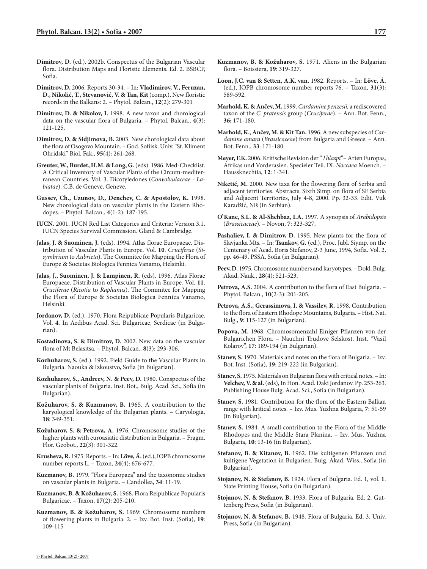- **Dimitrov, D.** (ed.). 2002b. Conspectus of the Bulgarian Vascular flora. Distribution Maps and Floristic Elements. Ed. 2. BSBCP, Sofia.
- **Dimitrov, D.** 2006. Reports 30-34. In: **Vladimirov, V., Feruzan, D., Nikolić, T., Stevanović, V. & Tan, Kit** (comp.), New floristic records in the Balkans: 2. – Phytol. Balcan., **12**(2): 279-301
- **Dimitrov, D. & Nikolov, I.** 1998. A new taxon and chorological data on the vascular flora of Bulgaria. – Phytol. Balcan., **4**(3): 121-125.
- **Dimitrov, D. & Sidjimova, B.** 2003. New chorological data about the flora of Osogovo Mountain. – God. Sofiisk. Univ. "St. Kliment Ohridski" Biol. Fak., **95**(4): 261-268.
- **Greuter, W., Burdet, H.M. & Long, G.** (eds). 1986. Med-Checklist. A Critical Inventory of Vascular Plants of the Circum-mediterranean Countries. Vol. 3. Dicotyledones (*Convolvulaceae - Labiatae*). C.B. de Geneve, Geneve.
- **Gussev, Ch., Uzunov, D., Denchev, C. & Apostolov, K.** 1998. New chorological data on vascular plants in the Eastern Rhodopes. – Phytol. Balcan., **4**(1-2): 187-195.
- **IUCN.** 2001. IUCN Red List Categories and Criteria: Version 3.1. IUCN Species Survival Commission. Gland & Cambridge.
- **Jalas, J. & Suominen, J.** (eds). 1994. Atlas florae Europaeae. Distribution of Vascular Plants in Europe. Vol. **10**. *Cruciferae* (*Sisymbrium* to *Aubrieta*). The Commitee for Mapping the Flora of Europe & Societas Biologica Fennica Vanamo, Helsinki.
- **Jalas, J., Suominen, J. & Lampinen, R.** (eds). 1996. Atlas Florae Europaeae. Distribution of Vascular Plants in Europe. Vol. **11**. *Cruciferae* (*Ricotia* to *Raphanus*). The Commitee for Mapping the Flora of Europe & Societas Biologica Fennica Vanamo, Helsinki.
- **Jordanov, D.** (ed.). 1970. Flora Reipublicae Popularis Bulgaricae. Vol. **4**. In Aedibus Acad. Sci. Bulgaricae, Serdicae (in Bulgarian).
- **Kostadinova, S. & Dimitrov, D.** 2002. New data on the vascular flora of Mt Belasitsa. – Phytol. Balcan., **8**(3): 293-306.
- **Kozhuharov, S.** (ed.). 1992. Field Guide to the Vascular Plants in Bulgaria. Naouka & Izkoustvo, Sofia (in Bulgarian).
- **Kozhuharov, S., Andreev, N. & Peev, D.** 1980. Conspectus of the vascular plants of Bulgaria. Inst. Bot., Bulg. Acad. Sci., Sofia (in Bulgarian).
- **Kožuharov, S. & Kuzmanov, B.** 1965. A contribution to the karyological knowledge of the Bulgarian plants. – Caryologia, **18**: 349-351.
- **Kožuharov, S. & Petrova, A.** 1976. Chromosome studies of the higher plants with euroasiatic distribution in Bulgaria. – Fragm. Flor. Geobot., **22**(3): 301-322.
- **Krusheva, R.** 1975. Reports. In: **Löve, Á.** (ed.), IOPB chromosome number reports L. – Taxon, **24**(4): 676-677.
- **Kuzmanov, B.** 1979. "Flora Europaea" and the taxonomic studies on vascular plants in Bulgaria. – Candollea, **34**: 11-19.
- **Kuzmanov, B. & Kožuharov, S.** 1968. Flora Reipublicae Popularis Bulgaricae. – Taxon, **17**(2): 205-210.
- **Kuzmanov, B. & Kožuharov, S.** 1969: Chromosome numbers of flowering plants in Bulgaria. 2. – Izv. Bot. Inst. (Sofia), **19**: 109-115
- **Kuzmanov, B. & Kožuharov, S.** 1971. Aliens in the Bulgarian flora. – Boissiera, **19**: 319-327.
- **Loon, J.C. van & Setten, A.K. van.** 1982. Reports. In: **Löve, Á.**  (ed.), IOPB chromosome number reports 76. – Taxon, **31**(3): 589-592.
- **Marhold, K. & Ančev, M.** 1999. *Cardamine penzesii,* a rediscovered taxon of the *C. pratensis* group (*Cruciferae*). – Ann. Bot. Fenn., **36:** 171-180.
- **Marhold, K.**, **Ančev, M. & Kit Tan.** 1996. A new subspecies of *Cardamine amara* (*Brassicaceae*) from Bulgaria and Greece. – Ann. Bot. Fenn., **33**: 171-180.
- **Meyer, F.K.** 2006. Kritische Revision der "*Thlaspi*"– Arten Europas, Afrikas und Vorderasien. Specieler Teil. IX. *Noccaea* Moench. – Haussknechtia, **12**: 1-341.
- **Niketić, M.** 2000. New taxa for the flowering flora of Serbia and adjacent territories. Abstracts. Sixth Simp. on flora of SE Serbia and Adjacent Territories, July 4-8, 2000. Pp. 32-33. Edit. Vuk Karadžić, Niš (in Serbian).
- **O'Kane, S.L. & Al-Shehbaz, I.A.** 1997. A synopsis of *Arabidopsis* (*Brassicaceae*). – Novon, **7**: 323-327.
- **Pashaliev, I. & Dimitrov, D.** 1995. New plants for the flora of Slavjanka Mts. – In: **Tsankov, G.** (ed.), Proc. Jubl. Siymp. on the Centenary of Acad. Boris Stefanov, 2-3 June, 1994, Sofia. Vol. 2, pp. 46-49. PSSA, Sofia (in Bulgarian).
- **Peev, D.** 1975. Chromosome numbers and karyotypes. Dokl. Bulg. Akad. Nauk., **28**(4): 521-523.
- **Petrova, A.S.** 2004. A contribution to the flora of East Bulgaria. Phytol. Balcan., **10**(2-3): 201-205.
- **Petrova, A.S., Gerassimova, I. & Vassilev, R.** 1998. Contribution to the flora of Eastern Rhodope Mountains, Bulgaria. – Hist. Nat. Bulg., **9**: 115-127 (in Bulgarian).
- **Popova, M.** 1968. Chromosomenzahl Einiger Pflanzen von der Bulgarichen Flora. – Nauchni Trudove Selskost. Inst. "Vasil Kolarov", **17**: 189-194 (in Bulgarian).
- **Stanev, S.** 1970. Materials and notes on the flora of Bulgaria. Izv. Bot. Inst. (Sofia), **19**: 219-222 (in Bulgarian).
- **Stanev, S.** 1975. Materials on Bulgarian flora with critical notes. In: **Velchev, V. & al.** (eds), In Hon. Acad. Daki Jordanov. Pp. 253-263. Publishing House Bulg. Acad. Sci., Sofia (in Bulgarian).
- **Stanev, S.** 1981. Contribution for the flora of the Eastern Balkan range with kritical notes. – Izv. Mus. Yuzhna Bulgaria, **7**: 51-59 (in Bulgarian).
- **Stanev, S.** 1984. A small contribution to the Flora of the Middle Rhodopes and the Middle Stara Planina. – Izv. Mus. Yuzhna Bulgaria, **10**: 13-16 (in Bulgarian).
- **Stefanov, B. & Kitanov, B.** 1962. Die kultigenen Pflanzen und kultigene Vegetation in Bulgarien. Bulg. Akad. Wiss., Sofia (in Bulgarian).
- **Stojanov, N. & Stefanov, B.** 1924. Flora of Bulgaria. Ed. 1, vol. **1**. State Printing House, Sofia (in Bulgarian).
- **Stojanov, N. & Stefanov, B.** 1933. Flora of Bulgaria. Ed. 2. Guttenberg Press, Sofia (in Bulgarian).
- **Stojanov, N. & Stefanov, B.** 1948. Flora of Bulgaria. Ed. 3. Univ. Press, Sofia (in Bulgarian).